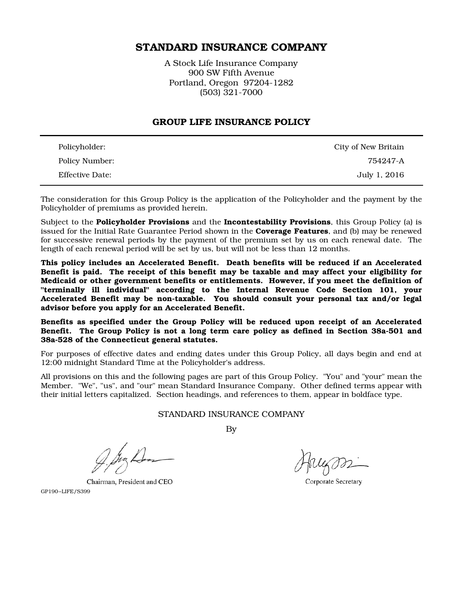# STANDARD INSURANCE COMPANY

A Stock Life Insurance Company 900 SW Fifth Avenue Portland, Oregon 97204-1282 (503) 321-7000

#### GROUP LIFE INSURANCE POLICY

| Policyholder:   | City of New Britain |
|-----------------|---------------------|
| Policy Number:  | 754247-A            |
| Effective Date: | July 1, 2016        |

The consideration for this Group Policy is the application of the Policyholder and the payment by the Policyholder of premiums as provided herein.

Subject to the **Policyholder Provisions** and the **Incontestability Provisions**, this Group Policy (a) is issued for the Initial Rate Guarantee Period shown in the **Coverage Features**, and (b) may be renewed for successive renewal periods by the payment of the premium set by us on each renewal date. The length of each renewal period will be set by us, but will not be less than 12 months.

This policy includes an Accelerated Benefit. Death benefits will be reduced if an Accelerated Benefit is paid. The receipt of this benefit may be taxable and may affect your eligibility for Medicaid or other government benefits or entitlements. However, if you meet the definition of "terminally ill individual" according to the Internal Revenue Code Section 101, your Accelerated Benefit may be non-taxable. You should consult your personal tax and/or legal advisor before you apply for an Accelerated Benefit.

Benefits as specified under the Group Policy will be reduced upon receipt of an Accelerated Benefit. The Group Policy is not a long term care policy as defined in Section 38a-501 and 38a-528 of the Connecticut general statutes.

For purposes of effective dates and ending dates under this Group Policy, all days begin and end at 12:00 midnight Standard Time at the Policyholder's address.

All provisions on this and the following pages are part of this Group Policy. "You" and "your" mean the Member. "We", "us", and "our" mean Standard Insurance Company. Other defined terms appear with their initial letters capitalized. Section headings, and references to them, appear in boldface type.

#### STANDARD INSURANCE COMPANY

By

Chairman, President and CEO GP190-LIFE/S399

Corporate Secretary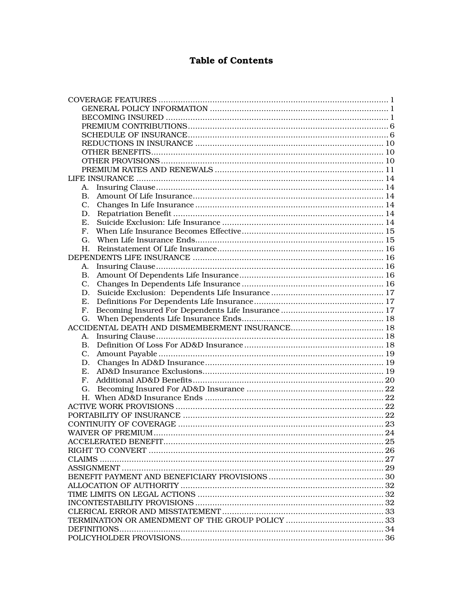# **Table of Contents**

| A.          |  |  |
|-------------|--|--|
| $B_{\cdot}$ |  |  |
|             |  |  |
| D.          |  |  |
| Е.          |  |  |
| F.          |  |  |
| G.          |  |  |
| Н.          |  |  |
|             |  |  |
| A.          |  |  |
| <b>B.</b>   |  |  |
| C.          |  |  |
| D.          |  |  |
| Ε.          |  |  |
| F.          |  |  |
| G.          |  |  |
|             |  |  |
| A.          |  |  |
| В.          |  |  |
|             |  |  |
|             |  |  |
|             |  |  |
| E.          |  |  |
| F.          |  |  |
|             |  |  |
|             |  |  |
|             |  |  |
|             |  |  |
|             |  |  |
|             |  |  |
|             |  |  |
|             |  |  |
|             |  |  |
|             |  |  |
|             |  |  |
|             |  |  |
|             |  |  |
|             |  |  |
|             |  |  |
|             |  |  |
|             |  |  |
|             |  |  |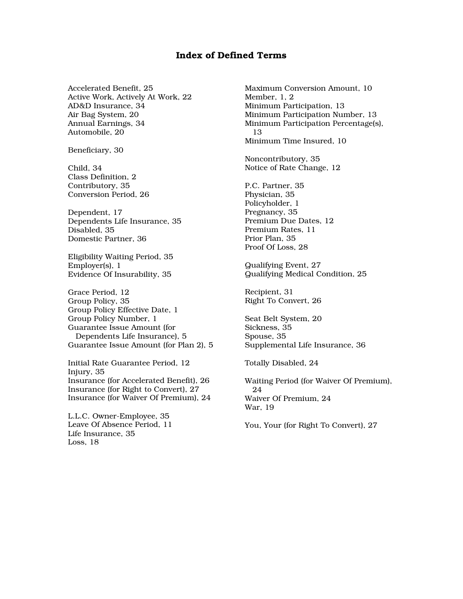## Index of Defined Terms

Accelerated Benefit, 25 Active Work, Actively At Work, 22 AD&D Insurance, 34 Air Bag System, 20 Annual Earnings, 34 Automobile, 20

Beneficiary, 30

Child, 34 Class Definition, 2 Contributory, 35 Conversion Period, 26

Dependent, 17 Dependents Life Insurance, 35 Disabled, 35 Domestic Partner, 36

Eligibility Waiting Period, 35 Employer(s), 1 Evidence Of Insurability, 35

Grace Period, 12 Group Policy, 35 Group Policy Effective Date, 1 Group Policy Number, 1 Guarantee Issue Amount (for Dependents Life Insurance), 5 Guarantee Issue Amount (for Plan 2), 5

Initial Rate Guarantee Period, 12 Injury, 35 Insurance (for Accelerated Benefit), 26 Insurance (for Right to Convert), 27 Insurance (for Waiver Of Premium), 24

L.L.C. Owner-Employee, 35 Leave Of Absence Period, 11 Life Insurance, 35 Loss, 18

Maximum Conversion Amount, 10 Member, 1, 2 Minimum Participation, 13 Minimum Participation Number, 13 Minimum Participation Percentage(s), 13 Minimum Time Insured, 10

Noncontributory, 35 Notice of Rate Change, 12

P.C. Partner, 35 Physician, 35 Policyholder, 1 Pregnancy, 35 Premium Due Dates, 12 Premium Rates, 11 Prior Plan, 35 Proof Of Loss, 28

Qualifying Event, 27 Qualifying Medical Condition, 25

Recipient, 31 Right To Convert, 26

Seat Belt System, 20 Sickness, 35 Spouse, 35 Supplemental Life Insurance, 36

Totally Disabled, 24

Waiting Period (for Waiver Of Premium), 24 Waiver Of Premium, 24 War, 19

You, Your (for Right To Convert), 27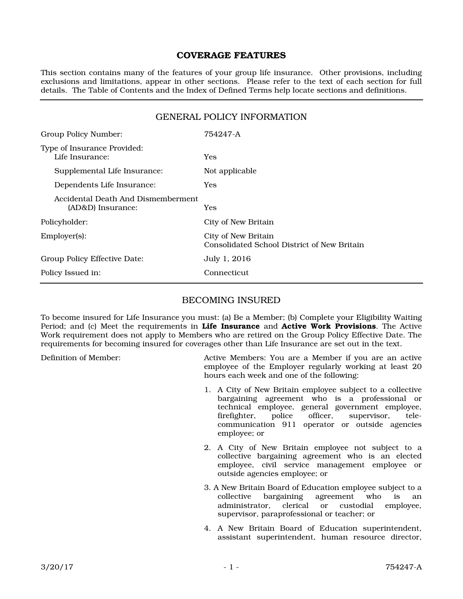## COVERAGE FEATURES

This section contains many of the features of your group life insurance. Other provisions, including exclusions and limitations, appear in other sections. Please refer to the text of each section for full details. The Table of Contents and the Index of Defined Terms help locate sections and definitions.

## GENERAL POLICY INFORMATION

| Group Policy Number:                                    | 754247-A                                                           |
|---------------------------------------------------------|--------------------------------------------------------------------|
| Type of Insurance Provided:<br>Life Insurance:          | <b>Yes</b>                                                         |
| Supplemental Life Insurance:                            | Not applicable                                                     |
| Dependents Life Insurance:                              | <b>Yes</b>                                                         |
| Accidental Death And Dismemberment<br>(AD&D) Insurance: | Yes                                                                |
| Policyholder:                                           | City of New Britain                                                |
| Employer(s):                                            | City of New Britain<br>Consolidated School District of New Britain |
| Group Policy Effective Date:                            | July 1, 2016                                                       |
| Policy Issued in:                                       | <b>Connecticut</b>                                                 |

### BECOMING INSURED

To become insured for Life Insurance you must: (a) Be a Member; (b) Complete your Eligibility Waiting Period; and (c) Meet the requirements in Life Insurance and Active Work Provisions. The Active Work requirement does not apply to Members who are retired on the Group Policy Effective Date. The requirements for becoming insured for coverages other than Life Insurance are set out in the text.

Definition of Member: Active Members: You are a Member if you are an active employee of the Employer regularly working at least 20 hours each week and one of the following:

- 1. A City of New Britain employee subject to a collective bargaining agreement who is a professional or technical employee, general government employee,<br>firefighter, police officer, supervisor, telefirefighter, police officer, supervisor, telecommunication 911 operator or outside agencies employee; or
- 2. A City of New Britain employee not subject to a collective bargaining agreement who is an elected employee, civil service management employee or outside agencies employee; or
- 3. A New Britain Board of Education employee subject to a collective bargaining agreement who is an administrator, clerical or custodial employee, administrator, clerical or custodial supervisor, paraprofessional or teacher; or
- 4. A New Britain Board of Education superintendent, assistant superintendent, human resource director,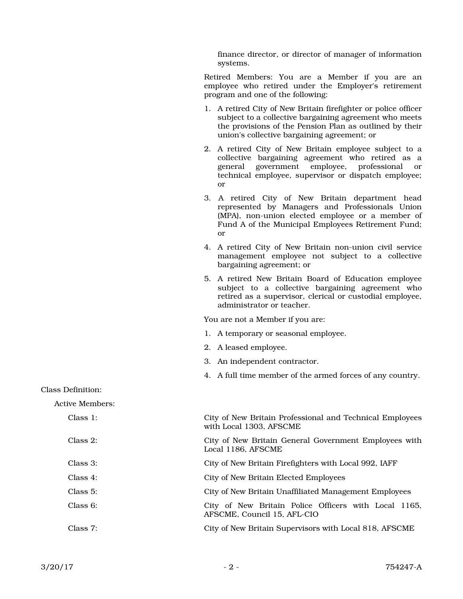finance director, or director of manager of information systems.

Retired Members: You are a Member if you are an employee who retired under the Employer's retirement program and one of the following:

- 1. A retired City of New Britain firefighter or police officer subject to a collective bargaining agreement who meets the provisions of the Pension Plan as outlined by their union's collective bargaining agreement; or
- 2. A retired City of New Britain employee subject to a collective bargaining agreement who retired as a general government employee, professional or technical employee, supervisor or dispatch employee; or
- 3. A retired City of New Britain department head represented by Managers and Professionals Union (MPA), non-union elected employee or a member of Fund A of the Municipal Employees Retirement Fund; or
- 4. A retired City of New Britain non-union civil service management employee not subject to a collective bargaining agreement; or
- 5. A retired New Britain Board of Education employee subject to a collective bargaining agreement who retired as a supervisor, clerical or custodial employee, administrator or teacher.

You are not a Member if you are:

- 1. A temporary or seasonal employee.
- 2. A leased employee.
- 3. An independent contractor.
- 4. A full time member of the armed forces of any country.

Class Definition:

Active Members:

| Class 1:    | City of New Britain Professional and Technical Employees<br>with Local 1303, AFSCME |
|-------------|-------------------------------------------------------------------------------------|
| Class 2:    | City of New Britain General Government Employees with<br>Local 1186, AFSCME         |
| Class 3:    | City of New Britain Firefighters with Local 992, IAFF                               |
| Class $4$ : | City of New Britain Elected Employees                                               |
| Class 5:    | City of New Britain Unaffiliated Management Employees                               |
| Class 6:    | City of New Britain Police Officers with Local 1165,<br>AFSCME, Council 15, AFL-CIO |
| Class 7:    | City of New Britain Supervisors with Local 818, AFSCME                              |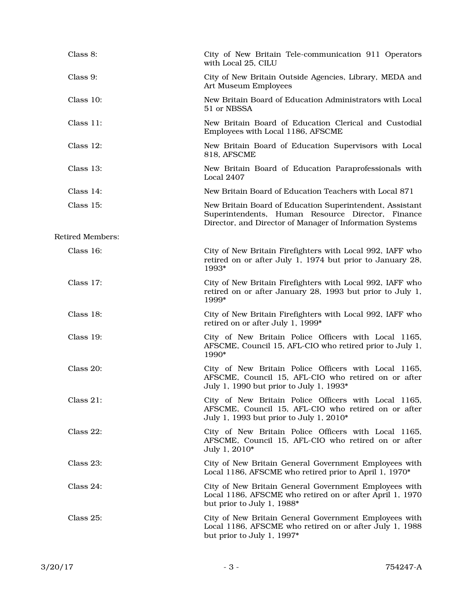| Class 8:                | City of New Britain Tele-communication 911 Operators<br>with Local 25, CILU                                                                                               |
|-------------------------|---------------------------------------------------------------------------------------------------------------------------------------------------------------------------|
| Class 9:                | City of New Britain Outside Agencies, Library, MEDA and<br>Art Museum Employees                                                                                           |
| Class 10:               | New Britain Board of Education Administrators with Local<br>51 or NBSSA                                                                                                   |
| Class 11:               | New Britain Board of Education Clerical and Custodial<br>Employees with Local 1186, AFSCME                                                                                |
| Class 12:               | New Britain Board of Education Supervisors with Local<br>818, AFSCME                                                                                                      |
| Class 13:               | New Britain Board of Education Paraprofessionals with<br>Local 2407                                                                                                       |
| Class 14:               | New Britain Board of Education Teachers with Local 871                                                                                                                    |
| Class 15:               | New Britain Board of Education Superintendent, Assistant<br>Superintendents, Human Resource Director, Finance<br>Director, and Director of Manager of Information Systems |
| <b>Retired Members:</b> |                                                                                                                                                                           |
| Class 16:               | City of New Britain Firefighters with Local 992, IAFF who<br>retired on or after July 1, 1974 but prior to January 28,<br>1993*                                           |
| Class 17:               | City of New Britain Firefighters with Local 992, IAFF who<br>retired on or after January 28, 1993 but prior to July 1,<br>1999*                                           |
| Class 18:               | City of New Britain Firefighters with Local 992, IAFF who<br>retired on or after July 1, 1999*                                                                            |
| Class 19:               | City of New Britain Police Officers with Local 1165,<br>AFSCME, Council 15, AFL-CIO who retired prior to July 1,<br>1990*                                                 |
| Class 20:               | City of New Britain Police Officers with Local 1165,<br>AFSCME, Council 15, AFL-CIO who retired on or after<br>July 1, 1990 but prior to July 1, 1993*                    |
| Class $21$ :            | City of New Britain Police Officers with Local 1165,<br>AFSCME, Council 15, AFL-CIO who retired on or after<br>July 1, 1993 but prior to July 1, 2010*                    |
| Class 22:               | City of New Britain Police Officers with Local 1165,<br>AFSCME, Council 15, AFL-CIO who retired on or after<br>July 1, 2010*                                              |
| Class 23:               | City of New Britain General Government Employees with<br>Local 1186, AFSCME who retired prior to April 1, 1970*                                                           |
| Class $24$ :            | City of New Britain General Government Employees with<br>Local 1186, AFSCME who retired on or after April 1, 1970<br>but prior to July 1, 1988*                           |
| Class 25:               | City of New Britain General Government Employees with<br>Local 1186, AFSCME who retired on or after July 1, 1988<br>but prior to July 1, 1997*                            |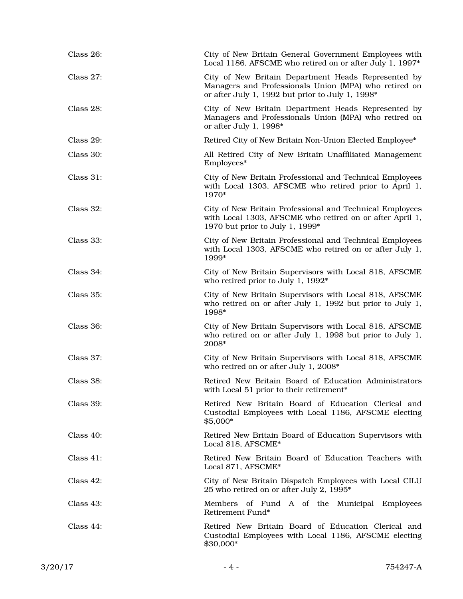| Class 26:    | City of New Britain General Government Employees with<br>Local 1186, AFSCME who retired on or after July 1, 1997*                                                |
|--------------|------------------------------------------------------------------------------------------------------------------------------------------------------------------|
| Class 27:    | City of New Britain Department Heads Represented by<br>Managers and Professionals Union (MPA) who retired on<br>or after July 1, 1992 but prior to July 1, 1998* |
| Class 28:    | City of New Britain Department Heads Represented by<br>Managers and Professionals Union (MPA) who retired on<br>or after July 1, 1998*                           |
| Class 29:    | Retired City of New Britain Non-Union Elected Employee*                                                                                                          |
| Class 30:    | All Retired City of New Britain Unaffiliated Management<br>Employees*                                                                                            |
| Class 31:    | City of New Britain Professional and Technical Employees<br>with Local 1303, AFSCME who retired prior to April 1,<br>1970*                                       |
| Class 32:    | City of New Britain Professional and Technical Employees<br>with Local 1303, AFSCME who retired on or after April 1,<br>1970 but prior to July 1, 1999*          |
| Class 33:    | City of New Britain Professional and Technical Employees<br>with Local 1303, AFSCME who retired on or after July 1,<br>1999*                                     |
| Class 34:    | City of New Britain Supervisors with Local 818, AFSCME<br>who retired prior to July 1, 1992*                                                                     |
| Class 35:    | City of New Britain Supervisors with Local 818, AFSCME<br>who retired on or after July 1, 1992 but prior to July 1,<br>1998*                                     |
| Class 36:    | City of New Britain Supervisors with Local 818, AFSCME<br>who retired on or after July 1, 1998 but prior to July 1,<br>2008*                                     |
| Class 37:    | City of New Britain Supervisors with Local 818, AFSCME<br>who retired on or after July 1, 2008*                                                                  |
| Class 38:    | Retired New Britain Board of Education Administrators<br>with Local 51 prior to their retirement <sup>*</sup>                                                    |
| Class 39:    | Retired New Britain Board of Education Clerical and<br>Custodial Employees with Local 1186, AFSCME electing<br>\$5,000*                                          |
| Class $40$ : | Retired New Britain Board of Education Supervisors with<br>Local 818, AFSCME <sup>*</sup>                                                                        |
| Class $41$ : | Retired New Britain Board of Education Teachers with<br>Local 871, AFSCME <sup>*</sup>                                                                           |
| Class $42$ : | City of New Britain Dispatch Employees with Local CILU<br>25 who retired on or after July 2, 1995*                                                               |
| Class $43$ : | Members of Fund A of the Municipal Employees<br>Retirement Fund*                                                                                                 |
| Class $44$ : | Retired New Britain Board of Education Clerical and<br>Custodial Employees with Local 1186, AFSCME electing<br>\$30,000*                                         |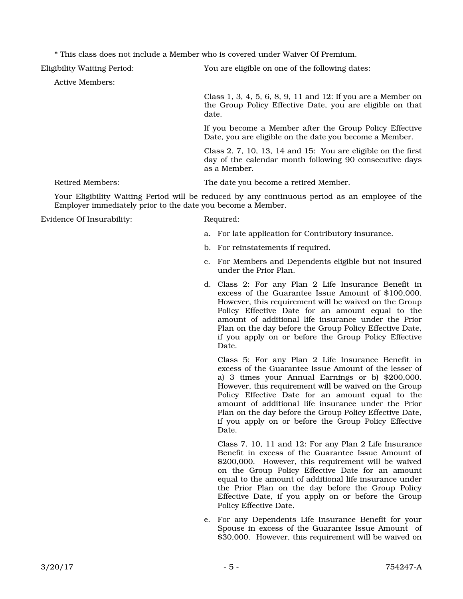\* This class does not include a Member who is covered under Waiver Of Premium.

Eligibility Waiting Period: You are eligible on one of the following dates:

Active Members:

Class 1, 3, 4, 5, 6, 8, 9, 11 and 12: If you are a Member on the Group Policy Effective Date, you are eligible on that date.

If you become a Member after the Group Policy Effective Date, you are eligible on the date you become a Member.

Class 2, 7, 10, 13, 14 and 15: You are eligible on the first day of the calendar month following 90 consecutive days as a Member.

Retired Members: The date you become a retired Member.

Your Eligibility Waiting Period will be reduced by any continuous period as an employee of the Employer immediately prior to the date you become a Member.

Evidence Of Insurability: Required:

- a. For late application for Contributory insurance.
- b. For reinstatements if required.
- c. For Members and Dependents eligible but not insured under the Prior Plan.
- d. Class 2: For any Plan 2 Life Insurance Benefit in excess of the Guarantee Issue Amount of \$100,000. However, this requirement will be waived on the Group Policy Effective Date for an amount equal to the amount of additional life insurance under the Prior Plan on the day before the Group Policy Effective Date, if you apply on or before the Group Policy Effective Date.

 Class 5: For any Plan 2 Life Insurance Benefit in excess of the Guarantee Issue Amount of the lesser of a) 3 times your Annual Earnings or b) \$200,000. However, this requirement will be waived on the Group Policy Effective Date for an amount equal to the amount of additional life insurance under the Prior Plan on the day before the Group Policy Effective Date, if you apply on or before the Group Policy Effective Date.

 Class 7, 10, 11 and 12: For any Plan 2 Life Insurance Benefit in excess of the Guarantee Issue Amount of \$200,000. However, this requirement will be waived on the Group Policy Effective Date for an amount equal to the amount of additional life insurance under the Prior Plan on the day before the Group Policy Effective Date, if you apply on or before the Group Policy Effective Date.

e. For any Dependents Life Insurance Benefit for your Spouse in excess of the Guarantee Issue Amount of \$30,000. However, this requirement will be waived on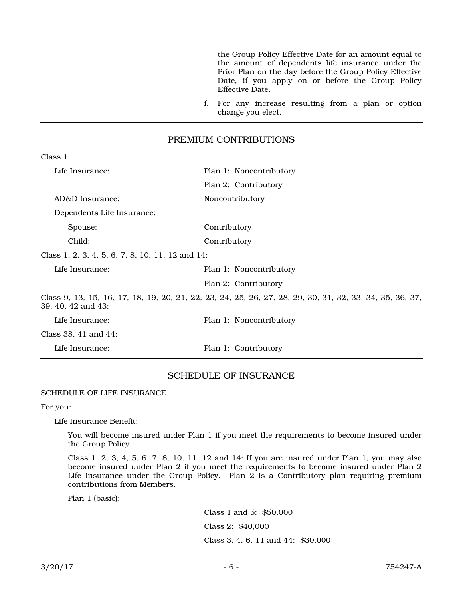the Group Policy Effective Date for an amount equal to the amount of dependents life insurance under the Prior Plan on the day before the Group Policy Effective Date, if you apply on or before the Group Policy Effective Date.

f. For any increase resulting from a plan or option change you elect.

#### PREMIUM CONTRIBUTIONS

| Life Insurance:                                  | Plan 1: Noncontributory                                                                                  |
|--------------------------------------------------|----------------------------------------------------------------------------------------------------------|
|                                                  | Plan 2: Contributory                                                                                     |
| AD&D Insurance:                                  | Noncontributory                                                                                          |
| Dependents Life Insurance:                       |                                                                                                          |
| Spouse:                                          | Contributory                                                                                             |
| Child:                                           | Contributory                                                                                             |
| Class 1, 2, 3, 4, 5, 6, 7, 8, 10, 11, 12 and 14: |                                                                                                          |
| Life Insurance:                                  | Plan 1: Noncontributory                                                                                  |
|                                                  | Plan 2: Contributory                                                                                     |
| 39, 40, 42 and 43:                               | Class 9, 13, 15, 16, 17, 18, 19, 20, 21, 22, 23, 24, 25, 26, 27, 28, 29, 30, 31, 32, 33, 34, 35, 36, 37, |
| Life Insurance:                                  | Plan 1: Noncontributory                                                                                  |
| Class 38, 41 and 44:                             |                                                                                                          |
| Life Insurance:                                  | Plan 1: Contributory                                                                                     |
|                                                  |                                                                                                          |

### SCHEDULE OF INSURANCE

SCHEDULE OF LIFE INSURANCE

For you:

Class 1:

Life Insurance Benefit:

You will become insured under Plan 1 if you meet the requirements to become insured under the Group Policy.

Class 1, 2, 3, 4, 5, 6, 7, 8, 10, 11, 12 and 14: If you are insured under Plan 1, you may also become insured under Plan 2 if you meet the requirements to become insured under Plan 2 Life Insurance under the Group Policy. Plan 2 is a Contributory plan requiring premium contributions from Members.

Plan 1 (basic):

Class 1 and 5: \$50,000 Class 2: \$40,000 Class 3, 4, 6, 11 and 44: \$30,000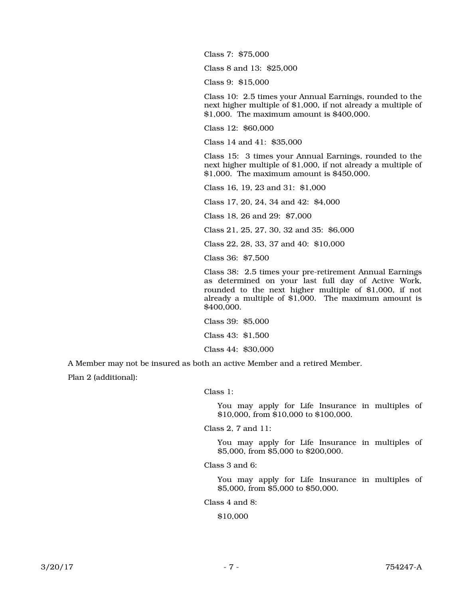Class 7: \$75,000

Class 8 and 13: \$25,000

Class 9: \$15,000

Class 10: 2.5 times your Annual Earnings, rounded to the next higher multiple of \$1,000, if not already a multiple of \$1,000. The maximum amount is \$400,000.

Class 12: \$60,000

Class 14 and 41: \$35,000

Class 15: 3 times your Annual Earnings, rounded to the next higher multiple of \$1,000, if not already a multiple of \$1,000. The maximum amount is \$450,000.

Class 16, 19, 23 and 31: \$1,000

Class 17, 20, 24, 34 and 42: \$4,000

Class 18, 26 and 29: \$7,000

Class 21, 25, 27, 30, 32 and 35: \$6,000

Class 22, 28, 33, 37 and 40: \$10,000

Class 36: \$7,500

Class 38: 2.5 times your pre-retirement Annual Earnings as determined on your last full day of Active Work, rounded to the next higher multiple of \$1,000, if not already a multiple of \$1,000. The maximum amount is \$400,000.

Class 39: \$5,000 Class 43: \$1,500 Class 44: \$30,000

A Member may not be insured as both an active Member and a retired Member.

Plan 2 (additional):

Class 1:

You may apply for Life Insurance in multiples of \$10,000, from \$10,000 to \$100,000.

Class 2, 7 and 11:

You may apply for Life Insurance in multiples of \$5,000, from \$5,000 to \$200,000.

Class 3 and 6:

You may apply for Life Insurance in multiples of \$5,000, from \$5,000 to \$50,000.

Class 4 and 8:

\$10,000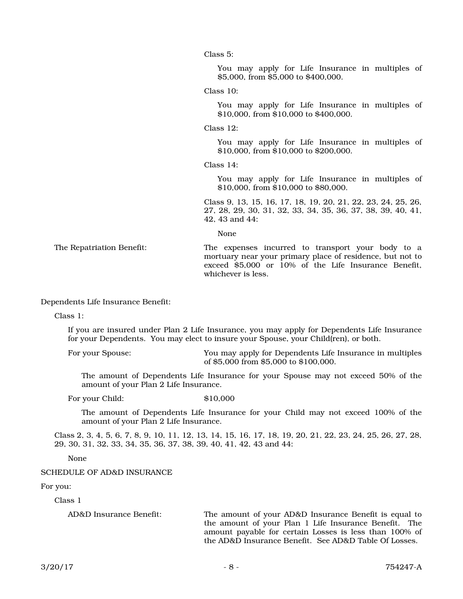Class 5:

You may apply for Life Insurance in multiples of \$5,000, from \$5,000 to \$400,000.

Class 10:

You may apply for Life Insurance in multiples of \$10,000, from \$10,000 to \$400,000.

Class  $12$ :

You may apply for Life Insurance in multiples of \$10,000, from \$10,000 to \$200,000.

Class 14:

You may apply for Life Insurance in multiples of \$10,000, from \$10,000 to \$80,000.

Class 9, 13, 15, 16, 17, 18, 19, 20, 21, 22, 23, 24, 25, 26, 27, 28, 29, 30, 31, 32, 33, 34, 35, 36, 37, 38, 39, 40, 41, 42, 43 and 44:

None

The Repatriation Benefit: The expenses incurred to transport your body to a mortuary near your primary place of residence, but not to exceed \$5,000 or 10% of the Life Insurance Benefit, whichever is less.

Dependents Life Insurance Benefit:

Class 1:

If you are insured under Plan 2 Life Insurance, you may apply for Dependents Life Insurance for your Dependents. You may elect to insure your Spouse, your Child(ren), or both.

For your Spouse: You may apply for Dependents Life Insurance in multiples of \$5,000 from \$5,000 to \$100,000.

The amount of Dependents Life Insurance for your Spouse may not exceed 50% of the amount of your Plan 2 Life Insurance.

For your Child:  $$10,000$ 

The amount of Dependents Life Insurance for your Child may not exceed 100% of the amount of your Plan 2 Life Insurance.

Class 2, 3, 4, 5, 6, 7, 8, 9, 10, 11, 12, 13, 14, 15, 16, 17, 18, 19, 20, 21, 22, 23, 24, 25, 26, 27, 28, 29, 30, 31, 32, 33, 34, 35, 36, 37, 38, 39, 40, 41, 42, 43 and 44:

None

#### SCHEDULE OF AD&D INSURANCE

For you:

Class 1

AD&D Insurance Benefit: The amount of your AD&D Insurance Benefit is equal to the amount of your Plan 1 Life Insurance Benefit. The amount payable for certain Losses is less than 100% of the AD&D Insurance Benefit. See AD&D Table Of Losses.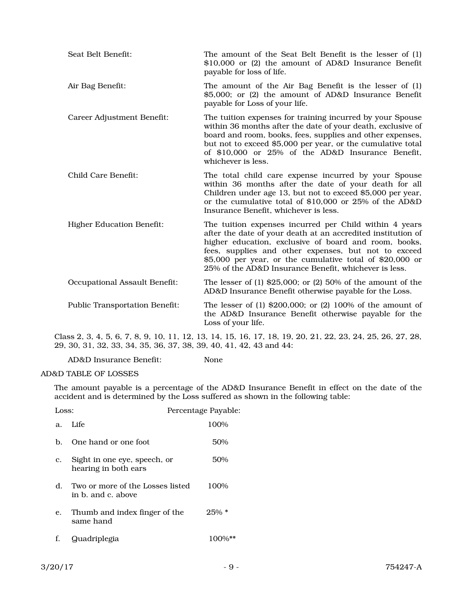| Seat Belt Benefit:                    | The amount of the Seat Belt Benefit is the lesser of (1)<br>\$10,000 or (2) the amount of AD&D Insurance Benefit<br>payable for loss of life.                                                                                                                                                                                                                |
|---------------------------------------|--------------------------------------------------------------------------------------------------------------------------------------------------------------------------------------------------------------------------------------------------------------------------------------------------------------------------------------------------------------|
| Air Bag Benefit:                      | The amount of the Air Bag Benefit is the lesser of (1)<br>\$5,000; or (2) the amount of AD&D Insurance Benefit<br>payable for Loss of your life.                                                                                                                                                                                                             |
| Career Adjustment Benefit:            | The tuition expenses for training incurred by your Spouse<br>within 36 months after the date of your death, exclusive of<br>board and room, books, fees, supplies and other expenses,<br>but not to exceed \$5,000 per year, or the cumulative total<br>of \$10,000 or 25% of the AD&D Insurance Benefit,<br>whichever is less.                              |
| Child Care Benefit:                   | The total child care expense incurred by your Spouse<br>within 36 months after the date of your death for all<br>Children under age 13, but not to exceed \$5,000 per year,<br>or the cumulative total of \$10,000 or 25% of the AD&D<br>Insurance Benefit, whichever is less.                                                                               |
| <b>Higher Education Benefit:</b>      | The tuition expenses incurred per Child within 4 years<br>after the date of your death at an accredited institution of<br>higher education, exclusive of board and room, books,<br>fees, supplies and other expenses, but not to exceed<br>\$5,000 per year, or the cumulative total of \$20,000 or<br>25% of the AD&D Insurance Benefit, whichever is less. |
| Occupational Assault Benefit:         | The lesser of $(1)$ \$25,000; or $(2)$ 50% of the amount of the<br>AD&D Insurance Benefit otherwise payable for the Loss.                                                                                                                                                                                                                                    |
| <b>Public Transportation Benefit:</b> | The lesser of $(1)$ \$200,000; or $(2)$ 100% of the amount of<br>the AD&D Insurance Benefit otherwise payable for the<br>Loss of your life.                                                                                                                                                                                                                  |

Class 2, 3, 4, 5, 6, 7, 8, 9, 10, 11, 12, 13, 14, 15, 16, 17, 18, 19, 20, 21, 22, 23, 24, 25, 26, 27, 28, 29, 30, 31, 32, 33, 34, 35, 36, 37, 38, 39, 40, 41, 42, 43 and 44:

AD&D Insurance Benefit: None

AD&D TABLE OF LOSSES

The amount payable is a percentage of the AD&D Insurance Benefit in effect on the date of the accident and is determined by the Loss suffered as shown in the following table:

| Loss: |                                                           | Percentage Payable: |
|-------|-----------------------------------------------------------|---------------------|
|       | a. Life                                                   | 100%                |
| b.    | One hand or one foot                                      | 50%                 |
| c.    | Sight in one eye, speech, or<br>hearing in both ears      | 50%                 |
|       | d. Two or more of the Losses listed<br>in b. and c. above | 100%                |
| e.    | Thumb and index finger of the<br>same hand                | $25\% *$            |
| f.    | Quadriplegia                                              |                     |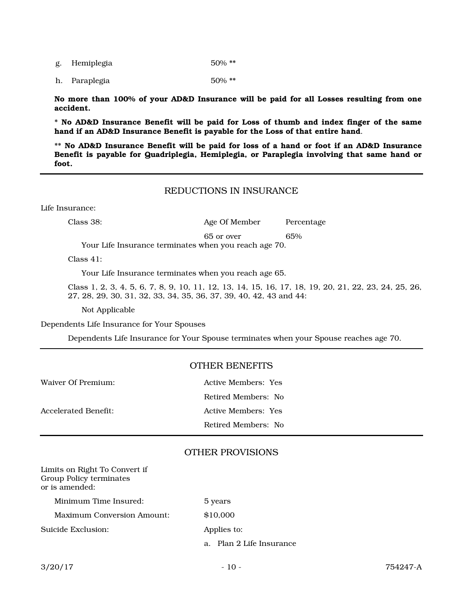g. Hemiplegia 50% \*\*

h. Paraplegia 50% \*\*

No more than 100% of your AD&D Insurance will be paid for all Losses resulting from one accident.

\* No AD&D Insurance Benefit will be paid for Loss of thumb and index finger of the same hand if an AD&D Insurance Benefit is payable for the Loss of that entire hand.

\*\* No AD&D Insurance Benefit will be paid for loss of a hand or foot if an AD&D Insurance Benefit is payable for Quadriplegia, Hemiplegia, or Paraplegia involving that same hand or foot.

## REDUCTIONS IN INSURANCE

Life Insurance:

Class 38: Age Of Member Percentage

65 or over 65%

Your Life Insurance terminates when you reach age 70.

Class 41:

Your Life Insurance terminates when you reach age 65.

Class 1, 2, 3, 4, 5, 6, 7, 8, 9, 10, 11, 12, 13, 14, 15, 16, 17, 18, 19, 20, 21, 22, 23, 24, 25, 26, 27, 28, 29, 30, 31, 32, 33, 34, 35, 36, 37, 39, 40, 42, 43 and 44:

Not Applicable

Dependents Life Insurance for Your Spouses

Dependents Life Insurance for Your Spouse terminates when your Spouse reaches age 70.

#### OTHER BENEFITS

| Waiver Of Premium:   | Active Members: Yes |
|----------------------|---------------------|
|                      | Retired Members: No |
| Accelerated Benefit: | Active Members: Yes |
|                      | Retired Members: No |

## OTHER PROVISIONS

| Limits on Right To Convert if<br>Group Policy terminates<br>or is amended: |                             |
|----------------------------------------------------------------------------|-----------------------------|
| Minimum Time Insured:                                                      | 5 years                     |
| Maximum Conversion Amount:                                                 | \$10,000                    |
| Suicide Exclusion:                                                         | Applies to:                 |
|                                                                            | Plan 2 Life Insurance<br>a. |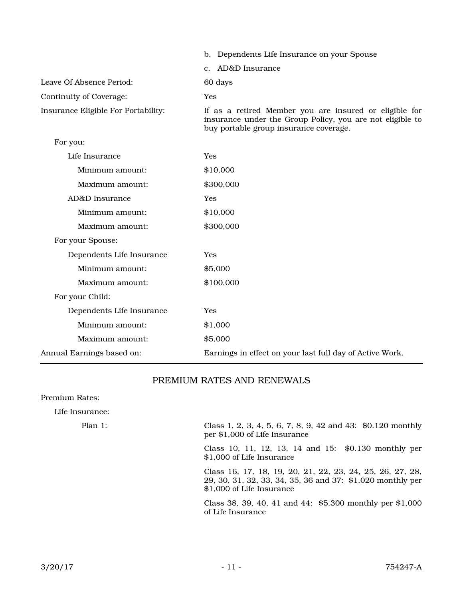|                                     | b. Dependents Life Insurance on your Spouse                                                                                                                   |
|-------------------------------------|---------------------------------------------------------------------------------------------------------------------------------------------------------------|
|                                     | AD&D Insurance<br>$c_{\cdot}$                                                                                                                                 |
| Leave Of Absence Period:            | 60 days                                                                                                                                                       |
| Continuity of Coverage:             | Yes                                                                                                                                                           |
| Insurance Eligible For Portability: | If as a retired Member you are insured or eligible for<br>insurance under the Group Policy, you are not eligible to<br>buy portable group insurance coverage. |
| For you:                            |                                                                                                                                                               |
| Life Insurance                      | Yes                                                                                                                                                           |
| Minimum amount:                     | \$10,000                                                                                                                                                      |
| Maximum amount:                     | \$300,000                                                                                                                                                     |
| AD&D Insurance                      | Yes                                                                                                                                                           |
| Minimum amount:                     | \$10,000                                                                                                                                                      |
| Maximum amount:                     | \$300,000                                                                                                                                                     |
| For your Spouse:                    |                                                                                                                                                               |
| Dependents Life Insurance           | Yes                                                                                                                                                           |
| Minimum amount:                     | \$5,000                                                                                                                                                       |
| Maximum amount:                     | \$100,000                                                                                                                                                     |
| For your Child:                     |                                                                                                                                                               |
| Dependents Life Insurance           | Yes                                                                                                                                                           |
| Minimum amount:                     | \$1,000                                                                                                                                                       |
| Maximum amount:                     | \$5,000                                                                                                                                                       |
| Annual Earnings based on:           | Earnings in effect on your last full day of Active Work.                                                                                                      |

## PREMIUM RATES AND RENEWALS

Premium Rates:

Life Insurance:

Plan 1: Class 1, 2, 3, 4, 5, 6, 7, 8, 9, 42 and 43: \$0.120 monthly per \$1,000 of Life Insurance

> Class 10, 11, 12, 13, 14 and 15: \$0.130 monthly per \$1,000 of Life Insurance

> Class 16, 17, 18, 19, 20, 21, 22, 23, 24, 25, 26, 27, 28, 29, 30, 31, 32, 33, 34, 35, 36 and 37: \$1.020 monthly per \$1,000 of Life Insurance

> Class 38, 39, 40, 41 and 44: \$5.300 monthly per \$1,000 of Life Insurance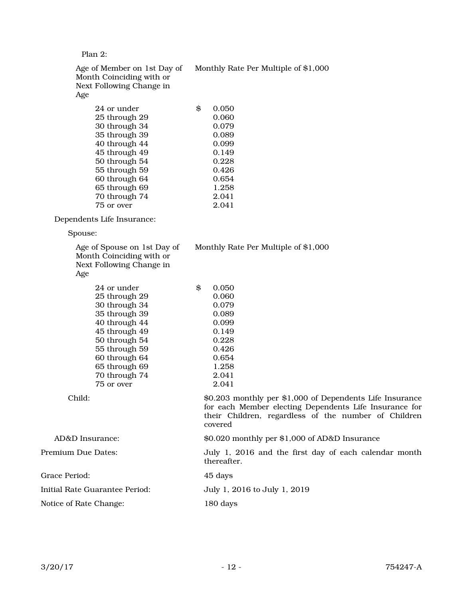Plan 2:

Monthly Rate Per Multiple of \$1,000

Age of Member on 1st Day of Month Coinciding with or Next Following Change in Age

| 24 or under   | \$<br>0.050 |
|---------------|-------------|
| 25 through 29 | 0.060       |
| 30 through 34 | 0.079       |
| 35 through 39 | 0.089       |
| 40 through 44 | 0.099       |
| 45 through 49 | 0.149       |
| 50 through 54 | 0.228       |
| 55 through 59 | 0.426       |
| 60 through 64 | 0.654       |
| 65 through 69 | 1.258       |
| 70 through 74 | 2.041       |
| 75 or over    | 2.041       |

Dependents Life Insurance:

Spouse:

| Age of Spouse on 1st Day of<br>Month Coinciding with or<br>Next Following Change in<br>Age                                                                                                                    | Monthly Rate Per Multiple of \$1,000                                                                                                                                       |
|---------------------------------------------------------------------------------------------------------------------------------------------------------------------------------------------------------------|----------------------------------------------------------------------------------------------------------------------------------------------------------------------------|
| 24 or under<br>25 through 29<br>30 through 34<br>35 through 39<br>40 through 44<br>45 through 49<br>50 through 54<br>55 through 59<br>60 through 64<br>65 through 69<br>70 through 74<br>75 or over<br>Child: | \$<br>0.050<br>0.060<br>0.079<br>0.089<br>0.099<br>0.149<br>0.228<br>0.426<br>0.654<br>1.258<br>2.041<br>2.041<br>\$0.203 monthly per \$1,000 of Dependents Life Insurance |
|                                                                                                                                                                                                               | for each Member electing Dependents Life Insurance for<br>their Children, regardless of the number of Children<br>covered                                                  |
| AD&D Insurance:                                                                                                                                                                                               | \$0.020 monthly per \$1,000 of AD&D Insurance                                                                                                                              |
| Premium Due Dates:                                                                                                                                                                                            | July 1, 2016 and the first day of each calendar month<br>thereafter.                                                                                                       |
| Grace Period:                                                                                                                                                                                                 | 45 days                                                                                                                                                                    |
| Initial Rate Guarantee Period:                                                                                                                                                                                | July 1, 2016 to July 1, 2019                                                                                                                                               |
| Notice of Rate Change:                                                                                                                                                                                        | 180 days                                                                                                                                                                   |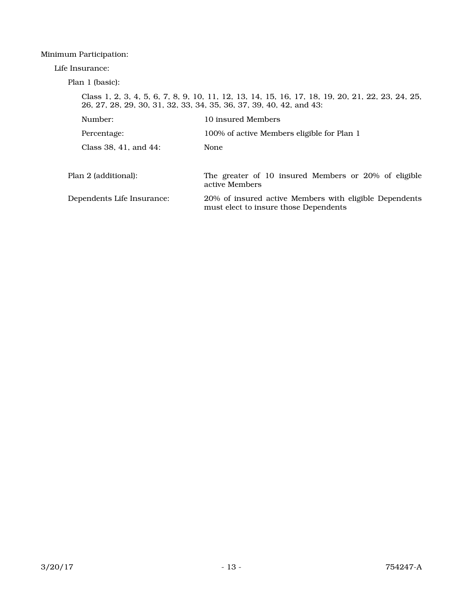## Minimum Participation:

Life Insurance:

Plan 1 (basic):

|                            | Class 1, 2, 3, 4, 5, 6, 7, 8, 9, 10, 11, 12, 13, 14, 15, 16, 17, 18, 19, 20, 21, 22, 23, 24, 25,<br>26, 27, 28, 29, 30, 31, 32, 33, 34, 35, 36, 37, 39, 40, 42, and 43: |
|----------------------------|-------------------------------------------------------------------------------------------------------------------------------------------------------------------------|
| Number:                    | 10 insured Members                                                                                                                                                      |
| Percentage:                | 100% of active Members eligible for Plan 1                                                                                                                              |
| Class 38, 41, and 44:      | None                                                                                                                                                                    |
|                            |                                                                                                                                                                         |
| Plan 2 (additional):       | The greater of 10 insured Members or 20% of eligible<br>active Members                                                                                                  |
| Dependents Life Insurance: | 20% of insured active Members with eligible Dependents<br>must elect to insure those Dependents                                                                         |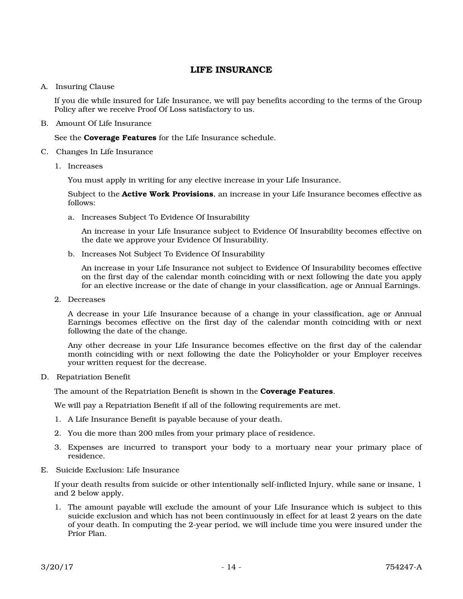## LIFE INSURANCE

#### A. Insuring Clause

If you die while insured for Life Insurance, we will pay benefits according to the terms of the Group Policy after we receive Proof Of Loss satisfactory to us.

B. Amount Of Life Insurance

See the **Coverage Features** for the Life Insurance schedule.

- C. Changes In Life Insurance
	- 1. Increases

You must apply in writing for any elective increase in your Life Insurance.

Subject to the **Active Work Provisions**, an increase in your Life Insurance becomes effective as follows:

a. Increases Subject To Evidence Of Insurability

An increase in your Life Insurance subject to Evidence Of Insurability becomes effective on the date we approve your Evidence Of Insurability.

b. Increases Not Subject To Evidence Of Insurability

An increase in your Life Insurance not subject to Evidence Of Insurability becomes effective on the first day of the calendar month coinciding with or next following the date you apply for an elective increase or the date of change in your classification, age or Annual Earnings.

2. Decreases

A decrease in your Life Insurance because of a change in your classification, age or Annual Earnings becomes effective on the first day of the calendar month coinciding with or next following the date of the change.

Any other decrease in your Life Insurance becomes effective on the first day of the calendar month coinciding with or next following the date the Policyholder or your Employer receives your written request for the decrease.

D. Repatriation Benefit

The amount of the Repatriation Benefit is shown in the **Coverage Features**.

We will pay a Repatriation Benefit if all of the following requirements are met.

- 1. A Life Insurance Benefit is payable because of your death.
- 2. You die more than 200 miles from your primary place of residence.
- 3. Expenses are incurred to transport your body to a mortuary near your primary place of residence.
- E. Suicide Exclusion: Life Insurance

If your death results from suicide or other intentionally self-inflicted Injury, while sane or insane, 1 and 2 below apply.

1. The amount payable will exclude the amount of your Life Insurance which is subject to this suicide exclusion and which has not been continuously in effect for at least 2 years on the date of your death. In computing the 2-year period, we will include time you were insured under the Prior Plan.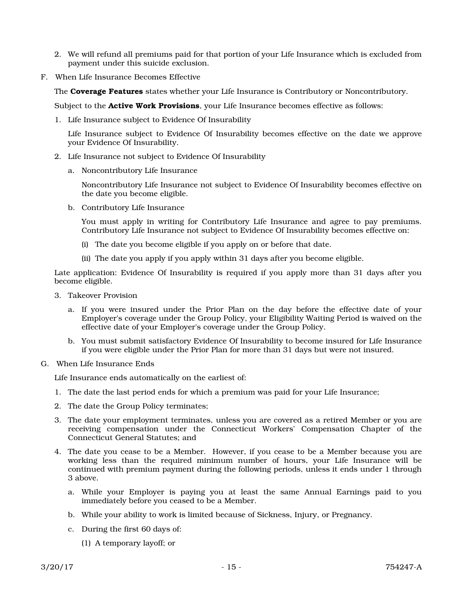- 2. We will refund all premiums paid for that portion of your Life Insurance which is excluded from payment under this suicide exclusion.
- F. When Life Insurance Becomes Effective

The Coverage Features states whether your Life Insurance is Contributory or Noncontributory.

Subject to the **Active Work Provisions**, your Life Insurance becomes effective as follows:

1. Life Insurance subject to Evidence Of Insurability

Life Insurance subject to Evidence Of Insurability becomes effective on the date we approve your Evidence Of Insurability.

- 2. Life Insurance not subject to Evidence Of Insurability
	- a. Noncontributory Life Insurance

Noncontributory Life Insurance not subject to Evidence Of Insurability becomes effective on the date you become eligible.

b. Contributory Life Insurance

You must apply in writing for Contributory Life Insurance and agree to pay premiums. Contributory Life Insurance not subject to Evidence Of Insurability becomes effective on:

- (i) The date you become eligible if you apply on or before that date.
- (ii) The date you apply if you apply within 31 days after you become eligible.

Late application: Evidence Of Insurability is required if you apply more than 31 days after you become eligible.

- 3. Takeover Provision
	- a. If you were insured under the Prior Plan on the day before the effective date of your Employer's coverage under the Group Policy, your Eligibility Waiting Period is waived on the effective date of your Employer's coverage under the Group Policy.
	- b. You must submit satisfactory Evidence Of Insurability to become insured for Life Insurance if you were eligible under the Prior Plan for more than 31 days but were not insured.
- G. When Life Insurance Ends

Life Insurance ends automatically on the earliest of:

- 1. The date the last period ends for which a premium was paid for your Life Insurance;
- 2. The date the Group Policy terminates;
- 3. The date your employment terminates, unless you are covered as a retired Member or you are receiving compensation under the Connecticut Workers' Compensation Chapter of the Connecticut General Statutes; and
- 4. The date you cease to be a Member. However, if you cease to be a Member because you are working less than the required minimum number of hours, your Life Insurance will be continued with premium payment during the following periods, unless it ends under 1 through 3 above.
	- a. While your Employer is paying you at least the same Annual Earnings paid to you immediately before you ceased to be a Member.
	- b. While your ability to work is limited because of Sickness, Injury, or Pregnancy.
	- c. During the first 60 days of:
		- (1) A temporary layoff; or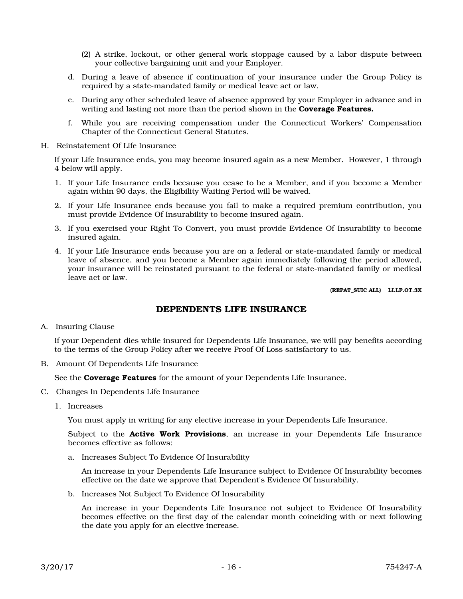- (2) A strike, lockout, or other general work stoppage caused by a labor dispute between your collective bargaining unit and your Employer.
- d. During a leave of absence if continuation of your insurance under the Group Policy is required by a state-mandated family or medical leave act or law.
- e. During any other scheduled leave of absence approved by your Employer in advance and in writing and lasting not more than the period shown in the **Coverage Features.**
- f. While you are receiving compensation under the Connecticut Workers' Compensation Chapter of the Connecticut General Statutes.
- H. Reinstatement Of Life Insurance

If your Life Insurance ends, you may become insured again as a new Member. However, 1 through 4 below will apply.

- 1. If your Life Insurance ends because you cease to be a Member, and if you become a Member again within 90 days, the Eligibility Waiting Period will be waived.
- 2. If your Life Insurance ends because you fail to make a required premium contribution, you must provide Evidence Of Insurability to become insured again.
- 3. If you exercised your Right To Convert, you must provide Evidence Of Insurability to become insured again.
- 4. If your Life Insurance ends because you are on a federal or state-mandated family or medical leave of absence, and you become a Member again immediately following the period allowed, your insurance will be reinstated pursuant to the federal or state-mandated family or medical leave act or law.

(REPAT\_SUIC ALL) LI.LF.OT.3X

## DEPENDENTS LIFE INSURANCE

A. Insuring Clause

If your Dependent dies while insured for Dependents Life Insurance, we will pay benefits according to the terms of the Group Policy after we receive Proof Of Loss satisfactory to us.

B. Amount Of Dependents Life Insurance

See the **Coverage Features** for the amount of your Dependents Life Insurance.

- C. Changes In Dependents Life Insurance
	- 1. Increases

You must apply in writing for any elective increase in your Dependents Life Insurance.

Subject to the **Active Work Provisions**, an increase in your Dependents Life Insurance becomes effective as follows:

a. Increases Subject To Evidence Of Insurability

An increase in your Dependents Life Insurance subject to Evidence Of Insurability becomes effective on the date we approve that Dependent's Evidence Of Insurability.

b. Increases Not Subject To Evidence Of Insurability

An increase in your Dependents Life Insurance not subject to Evidence Of Insurability becomes effective on the first day of the calendar month coinciding with or next following the date you apply for an elective increase.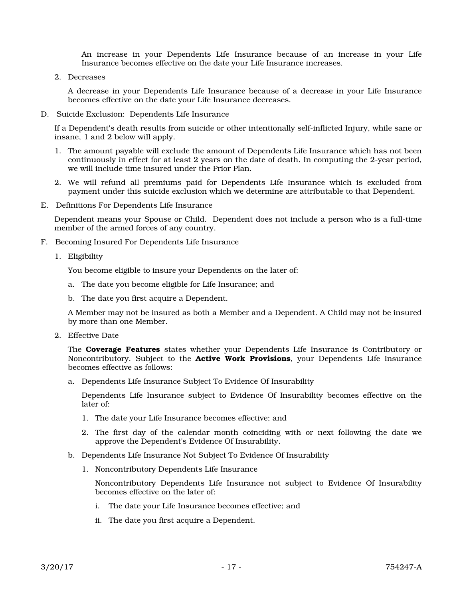An increase in your Dependents Life Insurance because of an increase in your Life Insurance becomes effective on the date your Life Insurance increases.

2. Decreases

A decrease in your Dependents Life Insurance because of a decrease in your Life Insurance becomes effective on the date your Life Insurance decreases.

D. Suicide Exclusion: Dependents Life Insurance

If a Dependent's death results from suicide or other intentionally self-inflicted Injury, while sane or insane, 1 and 2 below will apply.

- 1. The amount payable will exclude the amount of Dependents Life Insurance which has not been continuously in effect for at least 2 years on the date of death. In computing the 2-year period, we will include time insured under the Prior Plan.
- 2. We will refund all premiums paid for Dependents Life Insurance which is excluded from payment under this suicide exclusion which we determine are attributable to that Dependent.
- E. Definitions For Dependents Life Insurance

Dependent means your Spouse or Child. Dependent does not include a person who is a full-time member of the armed forces of any country.

- F. Becoming Insured For Dependents Life Insurance
	- 1. Eligibility

You become eligible to insure your Dependents on the later of:

- a. The date you become eligible for Life Insurance; and
- b. The date you first acquire a Dependent.

A Member may not be insured as both a Member and a Dependent. A Child may not be insured by more than one Member.

2. Effective Date

The **Coverage Features** states whether your Dependents Life Insurance is Contributory or Noncontributory. Subject to the **Active Work Provisions**, your Dependents Life Insurance becomes effective as follows:

a. Dependents Life Insurance Subject To Evidence Of Insurability

Dependents Life Insurance subject to Evidence Of Insurability becomes effective on the later of:

- 1. The date your Life Insurance becomes effective; and
- 2. The first day of the calendar month coinciding with or next following the date we approve the Dependent's Evidence Of Insurability.
- b. Dependents Life Insurance Not Subject To Evidence Of Insurability
	- 1. Noncontributory Dependents Life Insurance

Noncontributory Dependents Life Insurance not subject to Evidence Of Insurability becomes effective on the later of:

- i. The date your Life Insurance becomes effective; and
- ii. The date you first acquire a Dependent.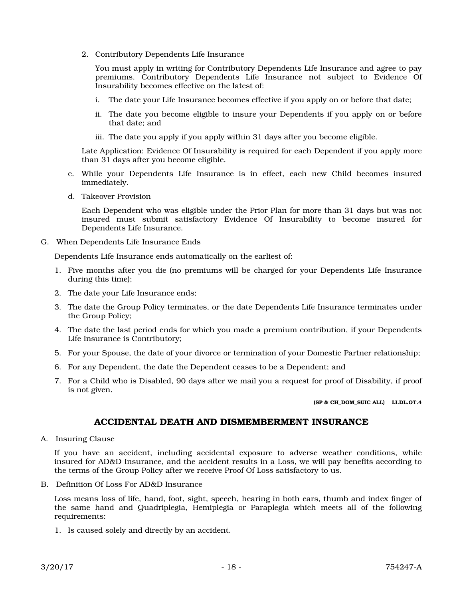2. Contributory Dependents Life Insurance

You must apply in writing for Contributory Dependents Life Insurance and agree to pay premiums. Contributory Dependents Life Insurance not subject to Evidence Of Insurability becomes effective on the latest of:

- i. The date your Life Insurance becomes effective if you apply on or before that date;
- ii. The date you become eligible to insure your Dependents if you apply on or before that date; and
- iii. The date you apply if you apply within 31 days after you become eligible.

Late Application: Evidence Of Insurability is required for each Dependent if you apply more than 31 days after you become eligible.

- c. While your Dependents Life Insurance is in effect, each new Child becomes insured immediately.
- d. Takeover Provision

Each Dependent who was eligible under the Prior Plan for more than 31 days but was not insured must submit satisfactory Evidence Of Insurability to become insured for Dependents Life Insurance.

G. When Dependents Life Insurance Ends

Dependents Life Insurance ends automatically on the earliest of:

- 1. Five months after you die (no premiums will be charged for your Dependents Life Insurance during this time);
- 2. The date your Life Insurance ends;
- 3. The date the Group Policy terminates, or the date Dependents Life Insurance terminates under the Group Policy;
- 4. The date the last period ends for which you made a premium contribution, if your Dependents Life Insurance is Contributory;
- 5. For your Spouse, the date of your divorce or termination of your Domestic Partner relationship;
- 6. For any Dependent, the date the Dependent ceases to be a Dependent; and
- 7. For a Child who is Disabled, 90 days after we mail you a request for proof of Disability, if proof is not given.

(SP & CH\_DOM\_SUIC ALL) LI.DL.OT.4

## ACCIDENTAL DEATH AND DISMEMBERMENT INSURANCE

A. Insuring Clause

If you have an accident, including accidental exposure to adverse weather conditions, while insured for AD&D Insurance, and the accident results in a Loss, we will pay benefits according to the terms of the Group Policy after we receive Proof Of Loss satisfactory to us.

B. Definition Of Loss For AD&D Insurance

Loss means loss of life, hand, foot, sight, speech, hearing in both ears, thumb and index finger of the same hand and Quadriplegia, Hemiplegia or Paraplegia which meets all of the following requirements:

1. Is caused solely and directly by an accident.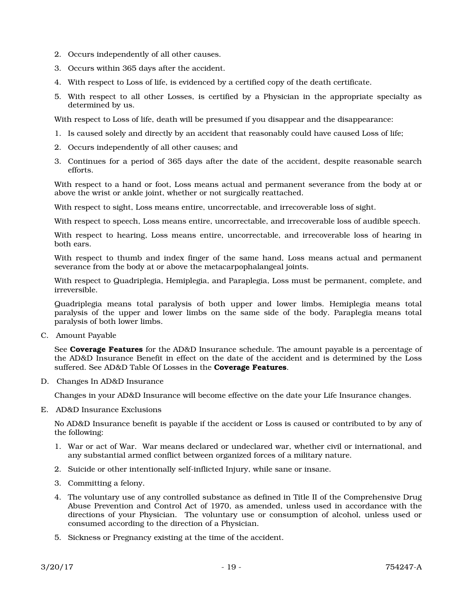- 2. Occurs independently of all other causes.
- 3. Occurs within 365 days after the accident.
- 4. With respect to Loss of life, is evidenced by a certified copy of the death certificate.
- 5. With respect to all other Losses, is certified by a Physician in the appropriate specialty as determined by us.

With respect to Loss of life, death will be presumed if you disappear and the disappearance:

- 1. Is caused solely and directly by an accident that reasonably could have caused Loss of life;
- 2. Occurs independently of all other causes; and
- 3. Continues for a period of 365 days after the date of the accident, despite reasonable search efforts.

With respect to a hand or foot, Loss means actual and permanent severance from the body at or above the wrist or ankle joint, whether or not surgically reattached.

With respect to sight, Loss means entire, uncorrectable, and irrecoverable loss of sight.

With respect to speech, Loss means entire, uncorrectable, and irrecoverable loss of audible speech.

With respect to hearing, Loss means entire, uncorrectable, and irrecoverable loss of hearing in both ears.

With respect to thumb and index finger of the same hand, Loss means actual and permanent severance from the body at or above the metacarpophalangeal joints.

With respect to Quadriplegia, Hemiplegia, and Paraplegia, Loss must be permanent, complete, and irreversible.

Quadriplegia means total paralysis of both upper and lower limbs. Hemiplegia means total paralysis of the upper and lower limbs on the same side of the body. Paraplegia means total paralysis of both lower limbs.

C. Amount Payable

See Coverage Features for the AD&D Insurance schedule. The amount payable is a percentage of the AD&D Insurance Benefit in effect on the date of the accident and is determined by the Loss suffered. See AD&D Table Of Losses in the **Coverage Features**.

D. Changes In AD&D Insurance

Changes in your AD&D Insurance will become effective on the date your Life Insurance changes.

E. AD&D Insurance Exclusions

No AD&D Insurance benefit is payable if the accident or Loss is caused or contributed to by any of the following:

- 1. War or act of War. War means declared or undeclared war, whether civil or international, and any substantial armed conflict between organized forces of a military nature.
- 2. Suicide or other intentionally self-inflicted Injury, while sane or insane.
- 3. Committing a felony.
- 4. The voluntary use of any controlled substance as defined in Title II of the Comprehensive Drug Abuse Prevention and Control Act of 1970, as amended, unless used in accordance with the directions of your Physician. The voluntary use or consumption of alcohol, unless used or consumed according to the direction of a Physician.
- 5. Sickness or Pregnancy existing at the time of the accident.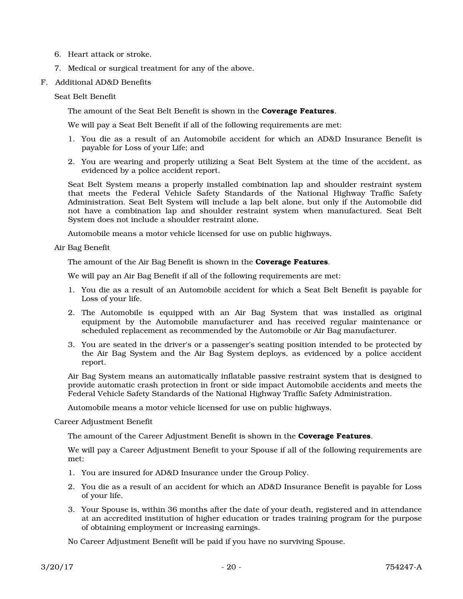- 6. Heart attack or stroke.
- 7. Medical or surgical treatment for any of the above.
- F. Additional AD&D Benefits

#### Seat Belt Benefit

The amount of the Seat Belt Benefit is shown in the **Coverage Features**.

We will pay a Seat Belt Benefit if all of the following requirements are met:

- 1. You die as a result of an Automobile accident for which an AD&D Insurance Benefit is payable for Loss of your Life; and
- 2. You are wearing and properly utilizing a Seat Belt System at the time of the accident, as evidenced by a police accident report.

Seat Belt System means a properly installed combination lap and shoulder restraint system that meets the Federal Vehicle Safety Standards of the National Highway Traffic Safety Administration. Seat Belt System will include a lap belt alone, but only if the Automobile did not have a combination lap and shoulder restraint system when manufactured. Seat Belt System does not include a shoulder restraint alone.

Automobile means a motor vehicle licensed for use on public highways.

Air Bag Benefit

The amount of the Air Bag Benefit is shown in the **Coverage Features**.

We will pay an Air Bag Benefit if all of the following requirements are met:

- 1. You die as a result of an Automobile accident for which a Seat Belt Benefit is payable for Loss of your life.
- 2. The Automobile is equipped with an Air Bag System that was installed as original equipment by the Automobile manufacturer and has received regular maintenance or scheduled replacement as recommended by the Automobile or Air Bag manufacturer.
- 3. You are seated in the driver's or a passenger's seating position intended to be protected by the Air Bag System and the Air Bag System deploys, as evidenced by a police accident report.

Air Bag System means an automatically inflatable passive restraint system that is designed to provide automatic crash protection in front or side impact Automobile accidents and meets the Federal Vehicle Safety Standards of the National Highway Traffic Safety Administration.

Automobile means a motor vehicle licensed for use on public highways.

Career Adjustment Benefit

The amount of the Career Adjustment Benefit is shown in the **Coverage Features**.

We will pay a Career Adjustment Benefit to your Spouse if all of the following requirements are met:

- 1. You are insured for AD&D Insurance under the Group Policy.
- 2. You die as a result of an accident for which an AD&D Insurance Benefit is payable for Loss of your life.
- 3. Your Spouse is, within 36 months after the date of your death, registered and in attendance at an accredited institution of higher education or trades training program for the purpose of obtaining employment or increasing earnings.

No Career Adjustment Benefit will be paid if you have no surviving Spouse.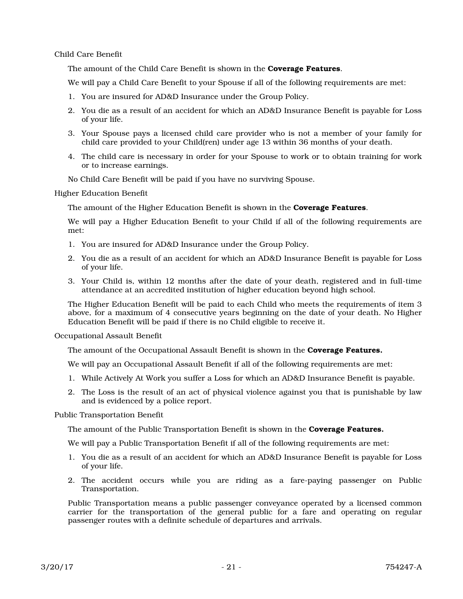Child Care Benefit

The amount of the Child Care Benefit is shown in the **Coverage Features**.

We will pay a Child Care Benefit to your Spouse if all of the following requirements are met:

- 1. You are insured for AD&D Insurance under the Group Policy.
- 2. You die as a result of an accident for which an AD&D Insurance Benefit is payable for Loss of your life.
- 3. Your Spouse pays a licensed child care provider who is not a member of your family for child care provided to your Child(ren) under age 13 within 36 months of your death.
- 4. The child care is necessary in order for your Spouse to work or to obtain training for work or to increase earnings.
- No Child Care Benefit will be paid if you have no surviving Spouse.

Higher Education Benefit

The amount of the Higher Education Benefit is shown in the **Coverage Features**.

We will pay a Higher Education Benefit to your Child if all of the following requirements are met:

- 1. You are insured for AD&D Insurance under the Group Policy.
- 2. You die as a result of an accident for which an AD&D Insurance Benefit is payable for Loss of your life.
- 3. Your Child is, within 12 months after the date of your death, registered and in full-time attendance at an accredited institution of higher education beyond high school.

The Higher Education Benefit will be paid to each Child who meets the requirements of item 3 above, for a maximum of 4 consecutive years beginning on the date of your death. No Higher Education Benefit will be paid if there is no Child eligible to receive it.

Occupational Assault Benefit

The amount of the Occupational Assault Benefit is shown in the **Coverage Features.** 

We will pay an Occupational Assault Benefit if all of the following requirements are met:

- 1. While Actively At Work you suffer a Loss for which an AD&D Insurance Benefit is payable.
- 2. The Loss is the result of an act of physical violence against you that is punishable by law and is evidenced by a police report.

Public Transportation Benefit

The amount of the Public Transportation Benefit is shown in the **Coverage Features.** 

We will pay a Public Transportation Benefit if all of the following requirements are met:

- 1. You die as a result of an accident for which an AD&D Insurance Benefit is payable for Loss of your life.
- 2. The accident occurs while you are riding as a fare-paying passenger on Public Transportation.

Public Transportation means a public passenger conveyance operated by a licensed common carrier for the transportation of the general public for a fare and operating on regular passenger routes with a definite schedule of departures and arrivals.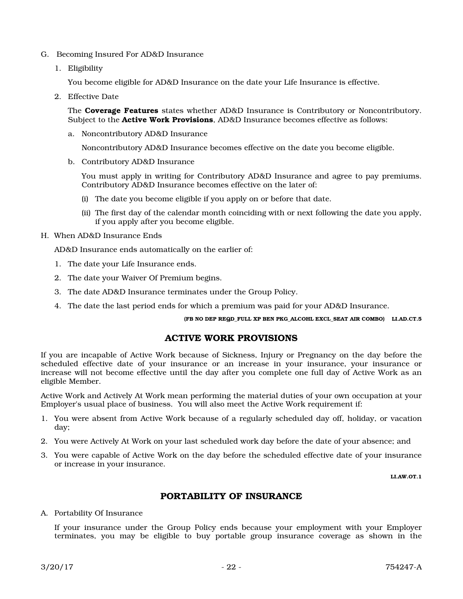- G. Becoming Insured For AD&D Insurance
	- 1. Eligibility

You become eligible for AD&D Insurance on the date your Life Insurance is effective.

2. Effective Date

The **Coverage Features** states whether AD&D Insurance is Contributory or Noncontributory. Subject to the **Active Work Provisions**, AD&D Insurance becomes effective as follows:

a. Noncontributory AD&D Insurance

Noncontributory AD&D Insurance becomes effective on the date you become eligible.

b. Contributory AD&D Insurance

You must apply in writing for Contributory AD&D Insurance and agree to pay premiums. Contributory AD&D Insurance becomes effective on the later of:

- (i) The date you become eligible if you apply on or before that date.
- (ii) The first day of the calendar month coinciding with or next following the date you apply, if you apply after you become eligible.
- H. When AD&D Insurance Ends

AD&D Insurance ends automatically on the earlier of:

- 1. The date your Life Insurance ends.
- 2. The date your Waiver Of Premium begins.
- 3. The date AD&D Insurance terminates under the Group Policy.
- 4. The date the last period ends for which a premium was paid for your AD&D Insurance.

(FB NO DEP REQD\_FULL XP BEN PKG\_ALCOHL EXCL\_SEAT AIR COMBO) LI.AD.CT.5

#### ACTIVE WORK PROVISIONS

If you are incapable of Active Work because of Sickness, Injury or Pregnancy on the day before the scheduled effective date of your insurance or an increase in your insurance, your insurance or increase will not become effective until the day after you complete one full day of Active Work as an eligible Member.

Active Work and Actively At Work mean performing the material duties of your own occupation at your Employer's usual place of business. You will also meet the Active Work requirement if:

- 1. You were absent from Active Work because of a regularly scheduled day off, holiday, or vacation day;
- 2. You were Actively At Work on your last scheduled work day before the date of your absence; and
- 3. You were capable of Active Work on the day before the scheduled effective date of your insurance or increase in your insurance.

LI.AW.OT.1

## PORTABILITY OF INSURANCE

A. Portability Of Insurance

If your insurance under the Group Policy ends because your employment with your Employer terminates, you may be eligible to buy portable group insurance coverage as shown in the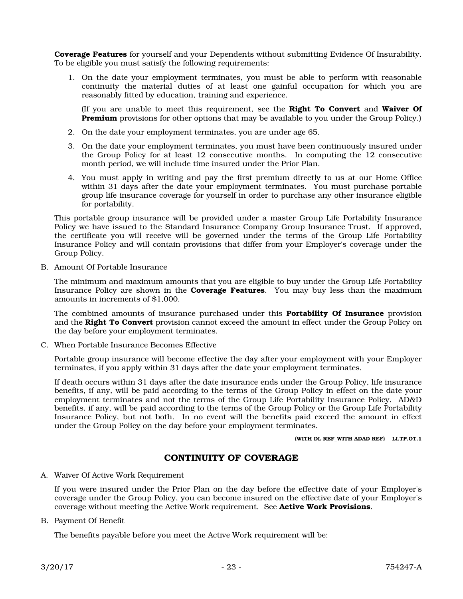Coverage Features for yourself and your Dependents without submitting Evidence Of Insurability. To be eligible you must satisfy the following requirements:

1. On the date your employment terminates, you must be able to perform with reasonable continuity the material duties of at least one gainful occupation for which you are reasonably fitted by education, training and experience.

(If you are unable to meet this requirement, see the Right To Convert and Waiver Of **Premium** provisions for other options that may be available to you under the Group Policy.)

- 2. On the date your employment terminates, you are under age 65.
- 3. On the date your employment terminates, you must have been continuously insured under the Group Policy for at least 12 consecutive months. In computing the 12 consecutive month period, we will include time insured under the Prior Plan.
- 4. You must apply in writing and pay the first premium directly to us at our Home Office within 31 days after the date your employment terminates. You must purchase portable group life insurance coverage for yourself in order to purchase any other insurance eligible for portability.

This portable group insurance will be provided under a master Group Life Portability Insurance Policy we have issued to the Standard Insurance Company Group Insurance Trust. If approved, the certificate you will receive will be governed under the terms of the Group Life Portability Insurance Policy and will contain provisions that differ from your Employer's coverage under the Group Policy.

B. Amount Of Portable Insurance

The minimum and maximum amounts that you are eligible to buy under the Group Life Portability Insurance Policy are shown in the **Coverage Features**. You may buy less than the maximum amounts in increments of \$1,000.

The combined amounts of insurance purchased under this **Portability Of Insurance** provision and the Right To Convert provision cannot exceed the amount in effect under the Group Policy on the day before your employment terminates.

C. When Portable Insurance Becomes Effective

Portable group insurance will become effective the day after your employment with your Employer terminates, if you apply within 31 days after the date your employment terminates.

If death occurs within 31 days after the date insurance ends under the Group Policy, life insurance benefits, if any, will be paid according to the terms of the Group Policy in effect on the date your employment terminates and not the terms of the Group Life Portability Insurance Policy. AD&D benefits, if any, will be paid according to the terms of the Group Policy or the Group Life Portability Insurance Policy, but not both. In no event will the benefits paid exceed the amount in effect under the Group Policy on the day before your employment terminates.

(WITH DL REF\_WITH ADAD REF) LI.TP.OT.1

## CONTINUITY OF COVERAGE

A. Waiver Of Active Work Requirement

If you were insured under the Prior Plan on the day before the effective date of your Employer's coverage under the Group Policy, you can become insured on the effective date of your Employer's coverage without meeting the Active Work requirement. See Active Work Provisions.

B. Payment Of Benefit

The benefits payable before you meet the Active Work requirement will be: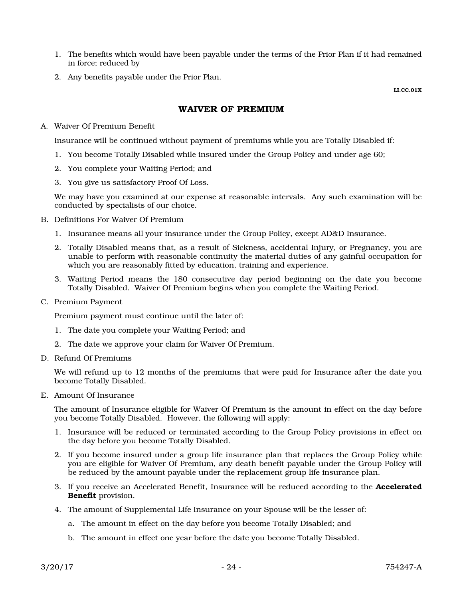- 1. The benefits which would have been payable under the terms of the Prior Plan if it had remained in force; reduced by
- 2. Any benefits payable under the Prior Plan.

LI.CC.01X

## WAIVER OF PREMIUM

A. Waiver Of Premium Benefit

Insurance will be continued without payment of premiums while you are Totally Disabled if:

- 1. You become Totally Disabled while insured under the Group Policy and under age 60;
- 2. You complete your Waiting Period; and
- 3. You give us satisfactory Proof Of Loss.

We may have you examined at our expense at reasonable intervals. Any such examination will be conducted by specialists of our choice.

- B. Definitions For Waiver Of Premium
	- 1. Insurance means all your insurance under the Group Policy, except AD&D Insurance.
	- 2. Totally Disabled means that, as a result of Sickness, accidental Injury, or Pregnancy, you are unable to perform with reasonable continuity the material duties of any gainful occupation for which you are reasonably fitted by education, training and experience.
	- 3. Waiting Period means the 180 consecutive day period beginning on the date you become Totally Disabled. Waiver Of Premium begins when you complete the Waiting Period.
- C. Premium Payment

Premium payment must continue until the later of:

- 1. The date you complete your Waiting Period; and
- 2. The date we approve your claim for Waiver Of Premium.
- D. Refund Of Premiums

We will refund up to 12 months of the premiums that were paid for Insurance after the date you become Totally Disabled.

E. Amount Of Insurance

The amount of Insurance eligible for Waiver Of Premium is the amount in effect on the day before you become Totally Disabled. However, the following will apply:

- 1. Insurance will be reduced or terminated according to the Group Policy provisions in effect on the day before you become Totally Disabled.
- 2. If you become insured under a group life insurance plan that replaces the Group Policy while you are eligible for Waiver Of Premium, any death benefit payable under the Group Policy will be reduced by the amount payable under the replacement group life insurance plan.
- 3. If you receive an Accelerated Benefit, Insurance will be reduced according to the Accelerated Benefit provision.
- 4. The amount of Supplemental Life Insurance on your Spouse will be the lesser of:
	- a. The amount in effect on the day before you become Totally Disabled; and
	- b. The amount in effect one year before the date you become Totally Disabled.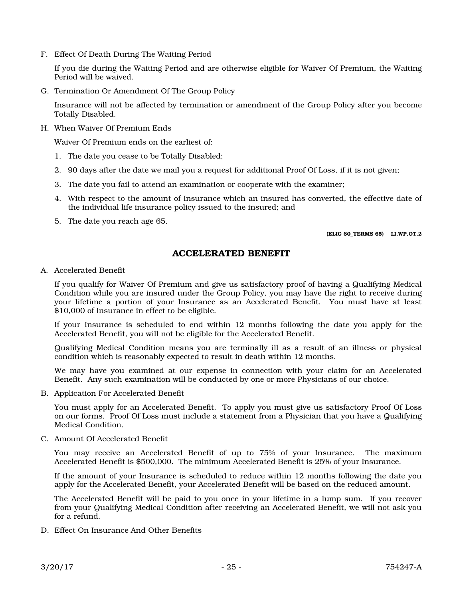F. Effect Of Death During The Waiting Period

If you die during the Waiting Period and are otherwise eligible for Waiver Of Premium, the Waiting Period will be waived.

G. Termination Or Amendment Of The Group Policy

Insurance will not be affected by termination or amendment of the Group Policy after you become Totally Disabled.

H. When Waiver Of Premium Ends

Waiver Of Premium ends on the earliest of:

- 1. The date you cease to be Totally Disabled;
- 2. 90 days after the date we mail you a request for additional Proof Of Loss, if it is not given;
- 3. The date you fail to attend an examination or cooperate with the examiner;
- 4. With respect to the amount of Insurance which an insured has converted, the effective date of the individual life insurance policy issued to the insured; and
- 5. The date you reach age 65.

#### (ELIG 60\_TERMS 65) LI.WP.OT.2

## ACCELERATED BENEFIT

A. Accelerated Benefit

If you qualify for Waiver Of Premium and give us satisfactory proof of having a Qualifying Medical Condition while you are insured under the Group Policy, you may have the right to receive during your lifetime a portion of your Insurance as an Accelerated Benefit. You must have at least \$10,000 of Insurance in effect to be eligible.

If your Insurance is scheduled to end within 12 months following the date you apply for the Accelerated Benefit, you will not be eligible for the Accelerated Benefit.

Qualifying Medical Condition means you are terminally ill as a result of an illness or physical condition which is reasonably expected to result in death within 12 months.

We may have you examined at our expense in connection with your claim for an Accelerated Benefit. Any such examination will be conducted by one or more Physicians of our choice.

B. Application For Accelerated Benefit

You must apply for an Accelerated Benefit. To apply you must give us satisfactory Proof Of Loss on our forms. Proof Of Loss must include a statement from a Physician that you have a Qualifying Medical Condition.

C. Amount Of Accelerated Benefit

You may receive an Accelerated Benefit of up to 75% of your Insurance. The maximum Accelerated Benefit is \$500,000. The minimum Accelerated Benefit is 25% of your Insurance.

If the amount of your Insurance is scheduled to reduce within 12 months following the date you apply for the Accelerated Benefit, your Accelerated Benefit will be based on the reduced amount.

The Accelerated Benefit will be paid to you once in your lifetime in a lump sum. If you recover from your Qualifying Medical Condition after receiving an Accelerated Benefit, we will not ask you for a refund.

D. Effect On Insurance And Other Benefits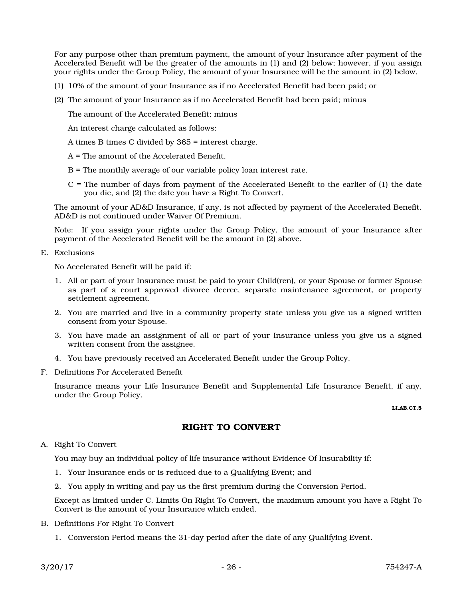For any purpose other than premium payment, the amount of your Insurance after payment of the Accelerated Benefit will be the greater of the amounts in (1) and (2) below; however, if you assign your rights under the Group Policy, the amount of your Insurance will be the amount in (2) below.

- (1) 10% of the amount of your Insurance as if no Accelerated Benefit had been paid; or
- (2) The amount of your Insurance as if no Accelerated Benefit had been paid; minus

The amount of the Accelerated Benefit; minus

An interest charge calculated as follows:

A times B times C divided by 365 = interest charge.

A = The amount of the Accelerated Benefit.

- B = The monthly average of our variable policy loan interest rate.
- C = The number of days from payment of the Accelerated Benefit to the earlier of (1) the date you die, and (2) the date you have a Right To Convert.

The amount of your AD&D Insurance, if any, is not affected by payment of the Accelerated Benefit. AD&D is not continued under Waiver Of Premium.

Note: If you assign your rights under the Group Policy, the amount of your Insurance after payment of the Accelerated Benefit will be the amount in (2) above.

E. Exclusions

No Accelerated Benefit will be paid if:

- 1. All or part of your Insurance must be paid to your Child(ren), or your Spouse or former Spouse as part of a court approved divorce decree, separate maintenance agreement, or property settlement agreement.
- 2. You are married and live in a community property state unless you give us a signed written consent from your Spouse.
- 3. You have made an assignment of all or part of your Insurance unless you give us a signed written consent from the assignee.
- 4. You have previously received an Accelerated Benefit under the Group Policy.
- F. Definitions For Accelerated Benefit

Insurance means your Life Insurance Benefit and Supplemental Life Insurance Benefit, if any, under the Group Policy.

LI.AB.CT.5

#### RIGHT TO CONVERT

A. Right To Convert

You may buy an individual policy of life insurance without Evidence Of Insurability if:

- 1. Your Insurance ends or is reduced due to a Qualifying Event; and
- 2. You apply in writing and pay us the first premium during the Conversion Period.

Except as limited under C. Limits On Right To Convert, the maximum amount you have a Right To Convert is the amount of your Insurance which ended.

- B. Definitions For Right To Convert
	- 1. Conversion Period means the 31-day period after the date of any Qualifying Event.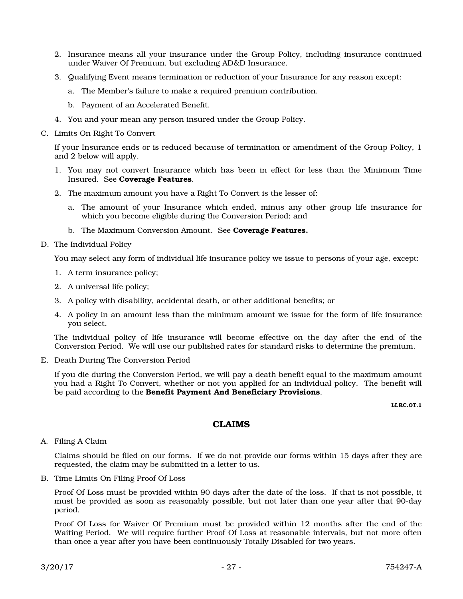- 2. Insurance means all your insurance under the Group Policy, including insurance continued under Waiver Of Premium, but excluding AD&D Insurance.
- 3. Qualifying Event means termination or reduction of your Insurance for any reason except:
	- a. The Member's failure to make a required premium contribution.
	- b. Payment of an Accelerated Benefit.
- 4. You and your mean any person insured under the Group Policy.
- C. Limits On Right To Convert

If your Insurance ends or is reduced because of termination or amendment of the Group Policy, 1 and 2 below will apply.

- 1. You may not convert Insurance which has been in effect for less than the Minimum Time Insured. See Coverage Features.
- 2. The maximum amount you have a Right To Convert is the lesser of:
	- a. The amount of your Insurance which ended, minus any other group life insurance for which you become eligible during the Conversion Period; and
	- b. The Maximum Conversion Amount. See Coverage Features.
- D. The Individual Policy

You may select any form of individual life insurance policy we issue to persons of your age, except:

- 1. A term insurance policy;
- 2. A universal life policy;
- 3. A policy with disability, accidental death, or other additional benefits; or
- 4. A policy in an amount less than the minimum amount we issue for the form of life insurance you select.

The individual policy of life insurance will become effective on the day after the end of the Conversion Period. We will use our published rates for standard risks to determine the premium.

E. Death During The Conversion Period

If you die during the Conversion Period, we will pay a death benefit equal to the maximum amount you had a Right To Convert, whether or not you applied for an individual policy. The benefit will be paid according to the Benefit Payment And Beneficiary Provisions.

LI.RC.OT.1

## CLAIMS

A. Filing A Claim

Claims should be filed on our forms. If we do not provide our forms within 15 days after they are requested, the claim may be submitted in a letter to us.

B. Time Limits On Filing Proof Of Loss

Proof Of Loss must be provided within 90 days after the date of the loss. If that is not possible, it must be provided as soon as reasonably possible, but not later than one year after that 90-day period.

Proof Of Loss for Waiver Of Premium must be provided within 12 months after the end of the Waiting Period. We will require further Proof Of Loss at reasonable intervals, but not more often than once a year after you have been continuously Totally Disabled for two years.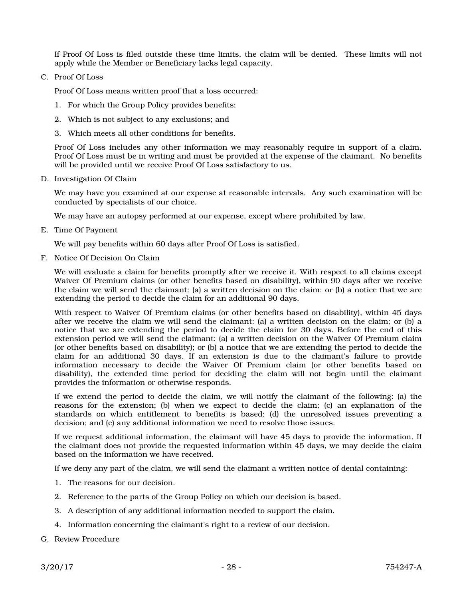If Proof Of Loss is filed outside these time limits, the claim will be denied. These limits will not apply while the Member or Beneficiary lacks legal capacity.

C. Proof Of Loss

Proof Of Loss means written proof that a loss occurred:

- 1. For which the Group Policy provides benefits;
- 2. Which is not subject to any exclusions; and
- 3. Which meets all other conditions for benefits.

Proof Of Loss includes any other information we may reasonably require in support of a claim. Proof Of Loss must be in writing and must be provided at the expense of the claimant. No benefits will be provided until we receive Proof Of Loss satisfactory to us.

D. Investigation Of Claim

We may have you examined at our expense at reasonable intervals. Any such examination will be conducted by specialists of our choice.

We may have an autopsy performed at our expense, except where prohibited by law.

E. Time Of Payment

We will pay benefits within 60 days after Proof Of Loss is satisfied.

F. Notice Of Decision On Claim

We will evaluate a claim for benefits promptly after we receive it. With respect to all claims except Waiver Of Premium claims (or other benefits based on disability), within 90 days after we receive the claim we will send the claimant: (a) a written decision on the claim; or (b) a notice that we are extending the period to decide the claim for an additional 90 days.

With respect to Waiver Of Premium claims (or other benefits based on disability), within 45 days after we receive the claim we will send the claimant: (a) a written decision on the claim; or (b) a notice that we are extending the period to decide the claim for 30 days. Before the end of this extension period we will send the claimant: (a) a written decision on the Waiver Of Premium claim (or other benefits based on disability); or (b) a notice that we are extending the period to decide the claim for an additional 30 days. If an extension is due to the claimant's failure to provide information necessary to decide the Waiver Of Premium claim (or other benefits based on disability), the extended time period for deciding the claim will not begin until the claimant provides the information or otherwise responds.

If we extend the period to decide the claim, we will notify the claimant of the following: (a) the reasons for the extension; (b) when we expect to decide the claim; (c) an explanation of the standards on which entitlement to benefits is based; (d) the unresolved issues preventing a decision; and (e) any additional information we need to resolve those issues.

If we request additional information, the claimant will have 45 days to provide the information. If the claimant does not provide the requested information within 45 days, we may decide the claim based on the information we have received.

If we deny any part of the claim, we will send the claimant a written notice of denial containing:

- 1. The reasons for our decision.
- 2. Reference to the parts of the Group Policy on which our decision is based.
- 3. A description of any additional information needed to support the claim.
- 4. Information concerning the claimant's right to a review of our decision.
- G. Review Procedure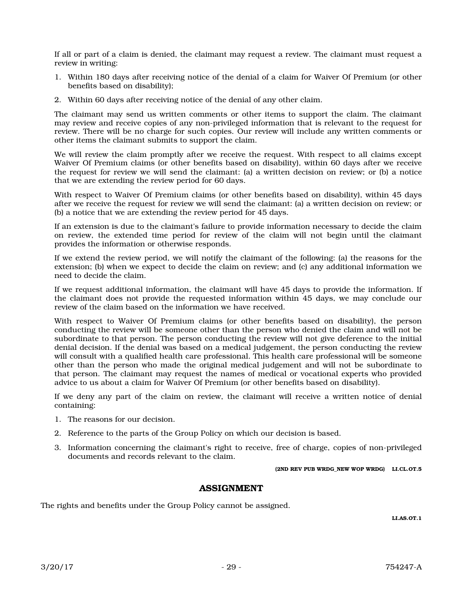If all or part of a claim is denied, the claimant may request a review. The claimant must request a review in writing:

- 1. Within 180 days after receiving notice of the denial of a claim for Waiver Of Premium (or other benefits based on disability);
- 2. Within 60 days after receiving notice of the denial of any other claim.

The claimant may send us written comments or other items to support the claim. The claimant may review and receive copies of any non-privileged information that is relevant to the request for review. There will be no charge for such copies. Our review will include any written comments or other items the claimant submits to support the claim.

We will review the claim promptly after we receive the request. With respect to all claims except Waiver Of Premium claims (or other benefits based on disability), within 60 days after we receive the request for review we will send the claimant: (a) a written decision on review; or (b) a notice that we are extending the review period for 60 days.

With respect to Waiver Of Premium claims (or other benefits based on disability), within 45 days after we receive the request for review we will send the claimant: (a) a written decision on review; or (b) a notice that we are extending the review period for 45 days.

If an extension is due to the claimant's failure to provide information necessary to decide the claim on review, the extended time period for review of the claim will not begin until the claimant provides the information or otherwise responds.

If we extend the review period, we will notify the claimant of the following: (a) the reasons for the extension; (b) when we expect to decide the claim on review; and (c) any additional information we need to decide the claim.

If we request additional information, the claimant will have 45 days to provide the information. If the claimant does not provide the requested information within 45 days, we may conclude our review of the claim based on the information we have received.

With respect to Waiver Of Premium claims (or other benefits based on disability), the person conducting the review will be someone other than the person who denied the claim and will not be subordinate to that person. The person conducting the review will not give deference to the initial denial decision. If the denial was based on a medical judgement, the person conducting the review will consult with a qualified health care professional. This health care professional will be someone other than the person who made the original medical judgement and will not be subordinate to that person. The claimant may request the names of medical or vocational experts who provided advice to us about a claim for Waiver Of Premium (or other benefits based on disability).

If we deny any part of the claim on review, the claimant will receive a written notice of denial containing:

- 1. The reasons for our decision.
- 2. Reference to the parts of the Group Policy on which our decision is based.
- 3. Information concerning the claimant's right to receive, free of charge, copies of non-privileged documents and records relevant to the claim.

(2ND REV PUB WRDG\_NEW WOP WRDG) LI.CL.OT.5

#### ASSIGNMENT

The rights and benefits under the Group Policy cannot be assigned.

LI.AS.OT.1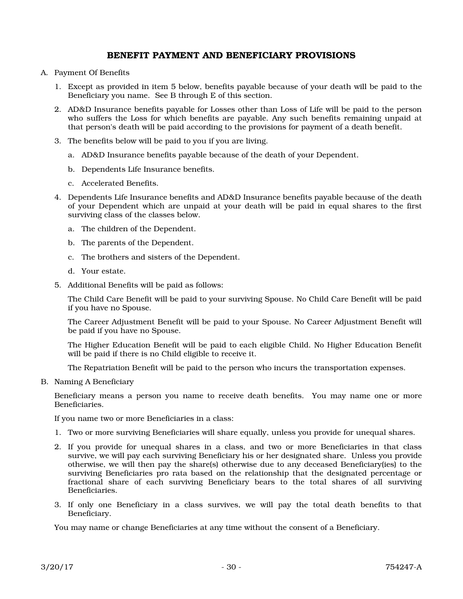## BENEFIT PAYMENT AND BENEFICIARY PROVISIONS

- A. Payment Of Benefits
	- 1. Except as provided in item 5 below, benefits payable because of your death will be paid to the Beneficiary you name. See B through E of this section.
	- 2. AD&D Insurance benefits payable for Losses other than Loss of Life will be paid to the person who suffers the Loss for which benefits are payable. Any such benefits remaining unpaid at that person's death will be paid according to the provisions for payment of a death benefit.
	- 3. The benefits below will be paid to you if you are living.
		- a. AD&D Insurance benefits payable because of the death of your Dependent.
		- b. Dependents Life Insurance benefits.
		- c. Accelerated Benefits.
	- 4. Dependents Life Insurance benefits and AD&D Insurance benefits payable because of the death of your Dependent which are unpaid at your death will be paid in equal shares to the first surviving class of the classes below.
		- a. The children of the Dependent.
		- b. The parents of the Dependent.
		- c. The brothers and sisters of the Dependent.
		- d. Your estate.
	- 5. Additional Benefits will be paid as follows:

The Child Care Benefit will be paid to your surviving Spouse. No Child Care Benefit will be paid if you have no Spouse.

The Career Adjustment Benefit will be paid to your Spouse. No Career Adjustment Benefit will be paid if you have no Spouse.

The Higher Education Benefit will be paid to each eligible Child. No Higher Education Benefit will be paid if there is no Child eligible to receive it.

The Repatriation Benefit will be paid to the person who incurs the transportation expenses.

B. Naming A Beneficiary

Beneficiary means a person you name to receive death benefits. You may name one or more Beneficiaries.

If you name two or more Beneficiaries in a class:

- 1. Two or more surviving Beneficiaries will share equally, unless you provide for unequal shares.
- 2. If you provide for unequal shares in a class, and two or more Beneficiaries in that class survive, we will pay each surviving Beneficiary his or her designated share. Unless you provide otherwise, we will then pay the share(s) otherwise due to any deceased Beneficiary(ies) to the surviving Beneficiaries pro rata based on the relationship that the designated percentage or fractional share of each surviving Beneficiary bears to the total shares of all surviving **Beneficiaries**
- 3. If only one Beneficiary in a class survives, we will pay the total death benefits to that Beneficiary.

You may name or change Beneficiaries at any time without the consent of a Beneficiary.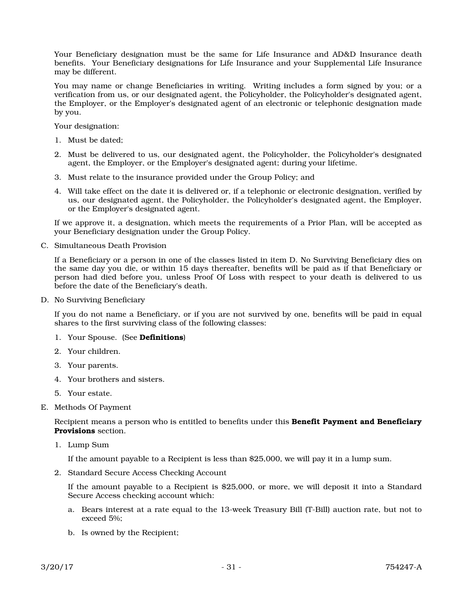Your Beneficiary designation must be the same for Life Insurance and AD&D Insurance death benefits. Your Beneficiary designations for Life Insurance and your Supplemental Life Insurance may be different.

You may name or change Beneficiaries in writing. Writing includes a form signed by you; or a verification from us, or our designated agent, the Policyholder, the Policyholder's designated agent, the Employer, or the Employer's designated agent of an electronic or telephonic designation made by you.

Your designation:

- 1. Must be dated;
- 2. Must be delivered to us, our designated agent, the Policyholder, the Policyholder's designated agent, the Employer, or the Employer's designated agent; during your lifetime.
- 3. Must relate to the insurance provided under the Group Policy; and
- 4. Will take effect on the date it is delivered or, if a telephonic or electronic designation, verified by us, our designated agent, the Policyholder, the Policyholder's designated agent, the Employer, or the Employer's designated agent.

If we approve it, a designation, which meets the requirements of a Prior Plan, will be accepted as your Beneficiary designation under the Group Policy.

C. Simultaneous Death Provision

If a Beneficiary or a person in one of the classes listed in item D. No Surviving Beneficiary dies on the same day you die, or within 15 days thereafter, benefits will be paid as if that Beneficiary or person had died before you, unless Proof Of Loss with respect to your death is delivered to us before the date of the Beneficiary's death.

D. No Surviving Beneficiary

If you do not name a Beneficiary, or if you are not survived by one, benefits will be paid in equal shares to the first surviving class of the following classes:

- 1. Your Spouse. (See Definitions)
- 2. Your children.
- 3. Your parents.
- 4. Your brothers and sisters.
- 5. Your estate.
- E. Methods Of Payment

Recipient means a person who is entitled to benefits under this **Benefit Payment and Beneficiary** Provisions section.

1. Lump Sum

If the amount payable to a Recipient is less than \$25,000, we will pay it in a lump sum.

2. Standard Secure Access Checking Account

If the amount payable to a Recipient is \$25,000, or more, we will deposit it into a Standard Secure Access checking account which:

- a. Bears interest at a rate equal to the 13-week Treasury Bill (T-Bill) auction rate, but not to exceed 5%;
- b. Is owned by the Recipient;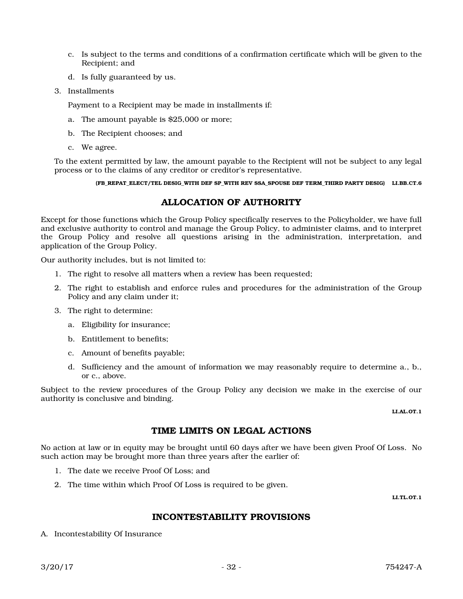- c. Is subject to the terms and conditions of a confirmation certificate which will be given to the Recipient; and
- d. Is fully guaranteed by us.
- 3. Installments

Payment to a Recipient may be made in installments if:

- a. The amount payable is \$25,000 or more;
- b. The Recipient chooses; and
- c. We agree.

To the extent permitted by law, the amount payable to the Recipient will not be subject to any legal process or to the claims of any creditor or creditor's representative.

(FB\_REPAT\_ELECT/TEL DESIG\_WITH DEF SP\_WITH REV SSA\_SPOUSE DEF TERM\_THIRD PARTY DESIG) LI.BB.CT.6

## ALLOCATION OF AUTHORITY

Except for those functions which the Group Policy specifically reserves to the Policyholder, we have full and exclusive authority to control and manage the Group Policy, to administer claims, and to interpret the Group Policy and resolve all questions arising in the administration, interpretation, and application of the Group Policy.

Our authority includes, but is not limited to:

- 1. The right to resolve all matters when a review has been requested;
- 2. The right to establish and enforce rules and procedures for the administration of the Group Policy and any claim under it;
- 3. The right to determine:
	- a. Eligibility for insurance;
	- b. Entitlement to benefits;
	- c. Amount of benefits payable;
	- d. Sufficiency and the amount of information we may reasonably require to determine a., b., or c., above.

Subject to the review procedures of the Group Policy any decision we make in the exercise of our authority is conclusive and binding.

LI.AL.OT.1

#### TIME LIMITS ON LEGAL ACTIONS

No action at law or in equity may be brought until 60 days after we have been given Proof Of Loss. No such action may be brought more than three years after the earlier of:

- 1. The date we receive Proof Of Loss; and
- 2. The time within which Proof Of Loss is required to be given.

LI.TL.OT.1

## INCONTESTABILITY PROVISIONS

A. Incontestability Of Insurance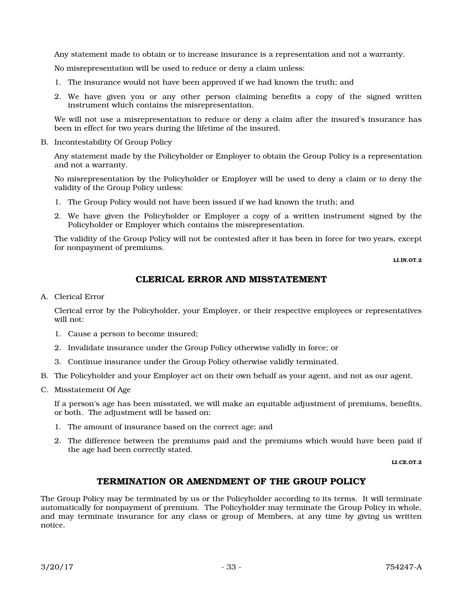Any statement made to obtain or to increase insurance is a representation and not a warranty.

No misrepresentation will be used to reduce or deny a claim unless:

- 1. The insurance would not have been approved if we had known the truth; and
- 2. We have given you or any other person claiming benefits a copy of the signed written instrument which contains the misrepresentation.

We will not use a misrepresentation to reduce or deny a claim after the insured's insurance has been in effect for two years during the lifetime of the insured.

B. Incontestability Of Group Policy

Any statement made by the Policyholder or Employer to obtain the Group Policy is a representation and not a warranty.

No misrepresentation by the Policyholder or Employer will be used to deny a claim or to deny the validity of the Group Policy unless:

- 1. The Group Policy would not have been issued if we had known the truth; and
- 2. We have given the Policyholder or Employer a copy of a written instrument signed by the Policyholder or Employer which contains the misrepresentation.

The validity of the Group Policy will not be contested after it has been in force for two years, except for nonpayment of premiums.

LLIN.OT.2

## CLERICAL ERROR AND MISSTATEMENT

A. Clerical Error

Clerical error by the Policyholder, your Employer, or their respective employees or representatives will not:

- 1. Cause a person to become insured;
- 2. Invalidate insurance under the Group Policy otherwise validly in force; or
- 3. Continue insurance under the Group Policy otherwise validly terminated.
- B. The Policyholder and your Employer act on their own behalf as your agent, and not as our agent.
- C. Misstatement Of Age

If a person's age has been misstated, we will make an equitable adjustment of premiums, benefits, or both. The adjustment will be based on:

- 1. The amount of insurance based on the correct age; and
- 2. The difference between the premiums paid and the premiums which would have been paid if the age had been correctly stated.

LLCE.OT.2

## TERMINATION OR AMENDMENT OF THE GROUP POLICY

The Group Policy may be terminated by us or the Policyholder according to its terms. It will terminate automatically for nonpayment of premium. The Policyholder may terminate the Group Policy in whole, and may terminate insurance for any class or group of Members, at any time by giving us written notice.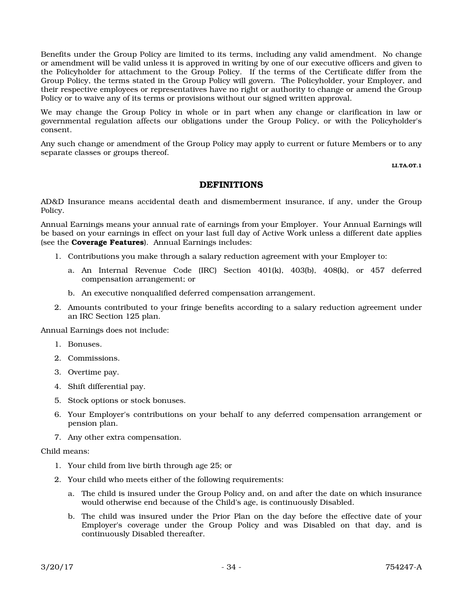Benefits under the Group Policy are limited to its terms, including any valid amendment. No change or amendment will be valid unless it is approved in writing by one of our executive officers and given to the Policyholder for attachment to the Group Policy. If the terms of the Certificate differ from the Group Policy, the terms stated in the Group Policy will govern. The Policyholder, your Employer, and their respective employees or representatives have no right or authority to change or amend the Group Policy or to waive any of its terms or provisions without our signed written approval.

We may change the Group Policy in whole or in part when any change or clarification in law or governmental regulation affects our obligations under the Group Policy, or with the Policyholder's consent.

Any such change or amendment of the Group Policy may apply to current or future Members or to any separate classes or groups thereof.

LI.TA.OT.1

#### DEFINITIONS

AD&D Insurance means accidental death and dismemberment insurance, if any, under the Group Policy.

Annual Earnings means your annual rate of earnings from your Employer. Your Annual Earnings will be based on your earnings in effect on your last full day of Active Work unless a different date applies (see the Coverage Features). Annual Earnings includes:

- 1. Contributions you make through a salary reduction agreement with your Employer to:
	- a. An Internal Revenue Code (IRC) Section 401(k), 403(b), 408(k), or 457 deferred compensation arrangement; or
	- b. An executive nonqualified deferred compensation arrangement.
- 2. Amounts contributed to your fringe benefits according to a salary reduction agreement under an IRC Section 125 plan.

Annual Earnings does not include:

- 1. Bonuses.
- 2. Commissions.
- 3. Overtime pay.
- 4. Shift differential pay.
- 5. Stock options or stock bonuses.
- 6. Your Employer's contributions on your behalf to any deferred compensation arrangement or pension plan.
- 7. Any other extra compensation.

Child means:

- 1. Your child from live birth through age 25; or
- 2. Your child who meets either of the following requirements:
	- a. The child is insured under the Group Policy and, on and after the date on which insurance would otherwise end because of the Child's age, is continuously Disabled.
	- b. The child was insured under the Prior Plan on the day before the effective date of your Employer's coverage under the Group Policy and was Disabled on that day, and is continuously Disabled thereafter.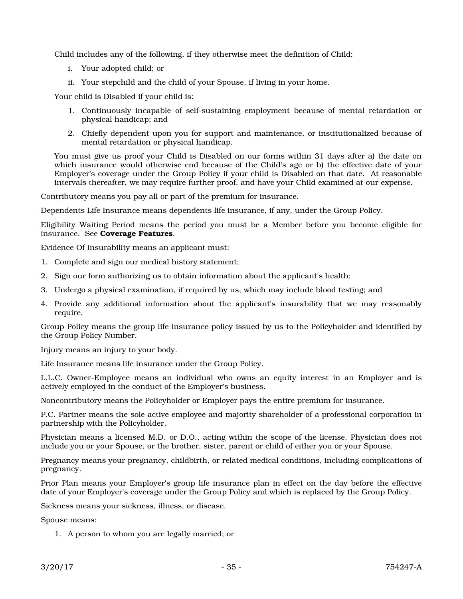Child includes any of the following, if they otherwise meet the definition of Child:

- i. Your adopted child; or
- ii. Your stepchild and the child of your Spouse, if living in your home.

Your child is Disabled if your child is:

- 1. Continuously incapable of self-sustaining employment because of mental retardation or physical handicap; and
- 2. Chiefly dependent upon you for support and maintenance, or institutionalized because of mental retardation or physical handicap.

You must give us proof your Child is Disabled on our forms within 31 days after a) the date on which insurance would otherwise end because of the Child's age or b) the effective date of your Employer's coverage under the Group Policy if your child is Disabled on that date. At reasonable intervals thereafter, we may require further proof, and have your Child examined at our expense.

Contributory means you pay all or part of the premium for insurance.

Dependents Life Insurance means dependents life insurance, if any, under the Group Policy.

Eligibility Waiting Period means the period you must be a Member before you become eligible for insurance. See Coverage Features.

Evidence Of Insurability means an applicant must:

- 1. Complete and sign our medical history statement;
- 2. Sign our form authorizing us to obtain information about the applicant's health;
- 3. Undergo a physical examination, if required by us, which may include blood testing; and
- 4. Provide any additional information about the applicant's insurability that we may reasonably require.

Group Policy means the group life insurance policy issued by us to the Policyholder and identified by the Group Policy Number.

Injury means an injury to your body.

Life Insurance means life insurance under the Group Policy.

L.L.C. Owner-Employee means an individual who owns an equity interest in an Employer and is actively employed in the conduct of the Employer's business.

Noncontributory means the Policyholder or Employer pays the entire premium for insurance.

P.C. Partner means the sole active employee and majority shareholder of a professional corporation in partnership with the Policyholder.

Physician means a licensed M.D. or D.O., acting within the scope of the license. Physician does not include you or your Spouse, or the brother, sister, parent or child of either you or your Spouse.

Pregnancy means your pregnancy, childbirth, or related medical conditions, including complications of pregnancy.

Prior Plan means your Employer's group life insurance plan in effect on the day before the effective date of your Employer's coverage under the Group Policy and which is replaced by the Group Policy.

Sickness means your sickness, illness, or disease.

Spouse means:

1. A person to whom you are legally married; or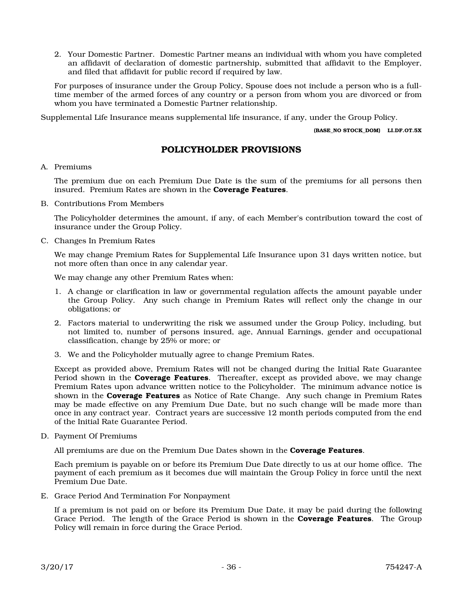2. Your Domestic Partner. Domestic Partner means an individual with whom you have completed an affidavit of declaration of domestic partnership, submitted that affidavit to the Employer, and filed that affidavit for public record if required by law.

For purposes of insurance under the Group Policy, Spouse does not include a person who is a fulltime member of the armed forces of any country or a person from whom you are divorced or from whom you have terminated a Domestic Partner relationship.

Supplemental Life Insurance means supplemental life insurance, if any, under the Group Policy.

(BASE\_NO STOCK\_DOM) LI.DF.OT.5X

## POLICYHOLDER PROVISIONS

#### A. Premiums

The premium due on each Premium Due Date is the sum of the premiums for all persons then insured. Premium Rates are shown in the **Coverage Features**.

B. Contributions From Members

The Policyholder determines the amount, if any, of each Member's contribution toward the cost of insurance under the Group Policy.

C. Changes In Premium Rates

We may change Premium Rates for Supplemental Life Insurance upon 31 days written notice, but not more often than once in any calendar year.

We may change any other Premium Rates when:

- 1. A change or clarification in law or governmental regulation affects the amount payable under the Group Policy. Any such change in Premium Rates will reflect only the change in our obligations; or
- 2. Factors material to underwriting the risk we assumed under the Group Policy, including, but not limited to, number of persons insured, age, Annual Earnings, gender and occupational classification, change by 25% or more; or
- 3. We and the Policyholder mutually agree to change Premium Rates.

Except as provided above, Premium Rates will not be changed during the Initial Rate Guarantee Period shown in the **Coverage Features**. Thereafter, except as provided above, we may change Premium Rates upon advance written notice to the Policyholder. The minimum advance notice is shown in the **Coverage Features** as Notice of Rate Change. Any such change in Premium Rates may be made effective on any Premium Due Date, but no such change will be made more than once in any contract year. Contract years are successive 12 month periods computed from the end of the Initial Rate Guarantee Period.

D. Payment Of Premiums

All premiums are due on the Premium Due Dates shown in the **Coverage Features**.

Each premium is payable on or before its Premium Due Date directly to us at our home office. The payment of each premium as it becomes due will maintain the Group Policy in force until the next Premium Due Date.

E. Grace Period And Termination For Nonpayment

If a premium is not paid on or before its Premium Due Date, it may be paid during the following Grace Period. The length of the Grace Period is shown in the **Coverage Features**. The Group Policy will remain in force during the Grace Period.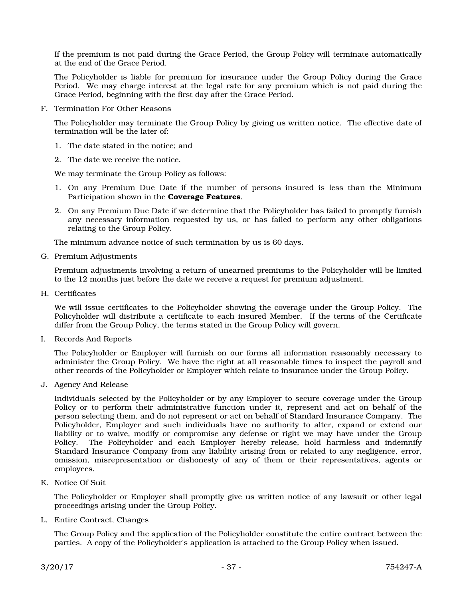If the premium is not paid during the Grace Period, the Group Policy will terminate automatically at the end of the Grace Period.

The Policyholder is liable for premium for insurance under the Group Policy during the Grace Period. We may charge interest at the legal rate for any premium which is not paid during the Grace Period, beginning with the first day after the Grace Period.

F. Termination For Other Reasons

The Policyholder may terminate the Group Policy by giving us written notice. The effective date of termination will be the later of:

- 1. The date stated in the notice; and
- 2. The date we receive the notice.

We may terminate the Group Policy as follows:

- 1. On any Premium Due Date if the number of persons insured is less than the Minimum Participation shown in the Coverage Features.
- 2. On any Premium Due Date if we determine that the Policyholder has failed to promptly furnish any necessary information requested by us, or has failed to perform any other obligations relating to the Group Policy.

The minimum advance notice of such termination by us is 60 days.

G. Premium Adjustments

Premium adjustments involving a return of unearned premiums to the Policyholder will be limited to the 12 months just before the date we receive a request for premium adjustment.

H. Certificates

We will issue certificates to the Policyholder showing the coverage under the Group Policy. The Policyholder will distribute a certificate to each insured Member. If the terms of the Certificate differ from the Group Policy, the terms stated in the Group Policy will govern.

I. Records And Reports

The Policyholder or Employer will furnish on our forms all information reasonably necessary to administer the Group Policy. We have the right at all reasonable times to inspect the payroll and other records of the Policyholder or Employer which relate to insurance under the Group Policy.

J. Agency And Release

Individuals selected by the Policyholder or by any Employer to secure coverage under the Group Policy or to perform their administrative function under it, represent and act on behalf of the person selecting them, and do not represent or act on behalf of Standard Insurance Company. The Policyholder, Employer and such individuals have no authority to alter, expand or extend our liability or to waive, modify or compromise any defense or right we may have under the Group Policy. The Policyholder and each Employer hereby release, hold harmless and indemnify Standard Insurance Company from any liability arising from or related to any negligence, error, omission, misrepresentation or dishonesty of any of them or their representatives, agents or employees.

K. Notice Of Suit

The Policyholder or Employer shall promptly give us written notice of any lawsuit or other legal proceedings arising under the Group Policy.

L. Entire Contract, Changes

The Group Policy and the application of the Policyholder constitute the entire contract between the parties. A copy of the Policyholder's application is attached to the Group Policy when issued.